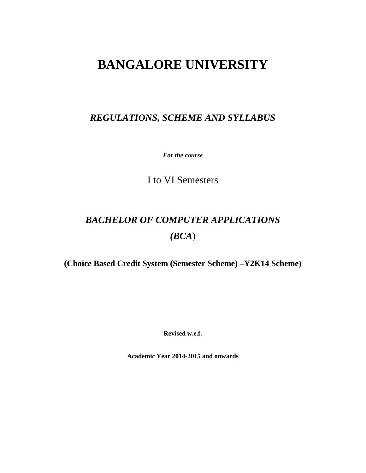# **BANGALORE UNIVERSITY**

# *REGULATIONS, SCHEME AND SYLLABUS*

*For the course*

I to VI Semesters

# *BACHELOR OF COMPUTER APPLICATIONS (BCA*)

**(Choice Based Credit System (Semester Scheme) –Y2K14 Scheme)**

**Revised w.e.f.**

**Academic Year 2014-2015 and onwards**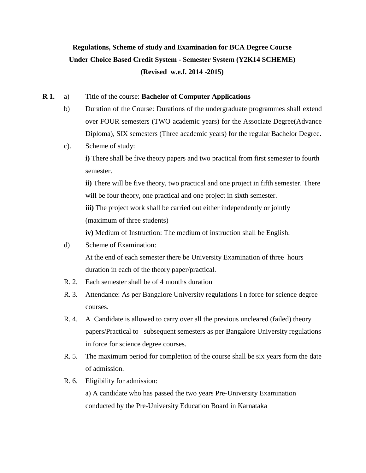# **Regulations, Scheme of study and Examination for BCA Degree Course Under Choice Based Credit System - Semester System (Y2K14 SCHEME) (Revised w.e.f. 2014 -2015)**

#### **R 1.** a) Title of the course: **Bachelor of Computer Applications**

- b) Duration of the Course: Durations of the undergraduate programmes shall extend over FOUR semesters (TWO academic years) for the Associate Degree(Advance Diploma), SIX semesters (Three academic years) for the regular Bachelor Degree.
- c). Scheme of study:

**i)** There shall be five theory papers and two practical from first semester to fourth semester.

**ii)** There will be five theory, two practical and one project in fifth semester. There will be four theory, one practical and one project in sixth semester.

**iii**) The project work shall be carried out either independently or jointly (maximum of three students)

**iv)** Medium of Instruction: The medium of instruction shall be English.

- d) Scheme of Examination: At the end of each semester there be University Examination of three hours duration in each of the theory paper/practical.
- R. 2. Each semester shall be of 4 months duration
- R. 3. Attendance: As per Bangalore University regulations I n force for science degree courses.
- R. 4. A Candidate is allowed to carry over all the previous uncleared (failed) theory papers/Practical to subsequent semesters as per Bangalore University regulations in force for science degree courses.
- R. 5. The maximum period for completion of the course shall be six years form the date of admission.

#### R. 6. Eligibility for admission:

a) A candidate who has passed the two years Pre-University Examination conducted by the Pre-University Education Board in Karnataka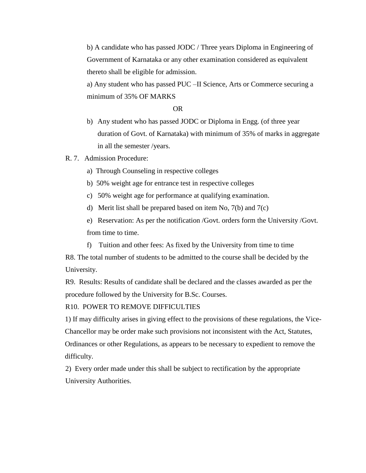b) A candidate who has passed JODC / Three years Diploma in Engineering of Government of Karnataka or any other examination considered as equivalent thereto shall be eligible for admission.

a) Any student who has passed PUC –II Science, Arts or Commerce securing a minimum of 35% OF MARKS

OR

b) Any student who has passed JODC or Diploma in Engg. (of three year duration of Govt. of Karnataka) with minimum of 35% of marks in aggregate in all the semester /years.

#### R. 7. Admission Procedure:

- a) Through Counseling in respective colleges
- b) 50% weight age for entrance test in respective colleges
- c) 50% weight age for performance at qualifying examination.
- d) Merit list shall be prepared based on item No, 7(b) and 7(c)

e) Reservation: As per the notification /Govt. orders form the University /Govt. from time to time.

f) Tuition and other fees: As fixed by the University from time to time R8. The total number of students to be admitted to the course shall be decided by the

University.

R9. Results: Results of candidate shall be declared and the classes awarded as per the procedure followed by the University for B.Sc. Courses.

#### R10. POWER TO REMOVE DIFFICULTIES

1) If may difficulty arises in giving effect to the provisions of these regulations, the Vice-Chancellor may be order make such provisions not inconsistent with the Act, Statutes, Ordinances or other Regulations, as appears to be necessary to expedient to remove the difficulty.

2) Every order made under this shall be subject to rectification by the appropriate University Authorities.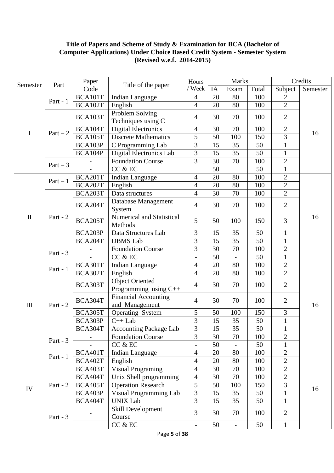#### **Title of Papers and Scheme of Study & Examination for BCA (Bachelor of Computer Applications) Under Choice Based Credit System - Semester System (Revised w.e.f. 2014-2015)**

|              | Part       | Paper<br>Title of the paper<br>Code | Hours                         |                          | <b>Marks</b> |                | Credits |                                |          |
|--------------|------------|-------------------------------------|-------------------------------|--------------------------|--------------|----------------|---------|--------------------------------|----------|
| Semester     |            |                                     |                               | / Week                   | IA           | Exam           | Total   | Subject                        | Semester |
|              |            | BCA101T                             | Indian Language               | $\overline{4}$           | 20           | 80             | 100     | $\overline{2}$                 |          |
|              | Part - $1$ | BCA102T                             | English                       | $\overline{4}$           | 20           | 80             | 100     | $\overline{2}$                 |          |
|              |            |                                     | Problem Solving               |                          |              |                |         |                                |          |
|              |            | BCA103T                             | Techniques using C            | $\overline{4}$           | 30           | 70             | 100     | $\overline{2}$                 |          |
|              |            | BCA104T                             | <b>Digital Electronics</b>    | $\overline{4}$           | 30           | 70             | 100     | $\mathbf{2}$                   |          |
| $\mathbf I$  | $Part - 2$ | BCA105T                             | <b>Discrete Mathematics</b>   | 5                        | 50           | 100            | 150     | $\overline{3}$                 | 16       |
|              |            | BCA103P                             | C Programming Lab             | 3                        | 15           | 35             | 50      | $\mathbf{1}$                   |          |
|              |            | BCA104P                             | Digital Electronics Lab       | 3                        | 15           | 35             | 50      | $\mathbf{1}$                   |          |
|              | $Part - 3$ |                                     | <b>Foundation Course</b>      | 3                        | 30           | 70             | 100     | $\mathbf{2}$                   |          |
|              |            |                                     | CC & EC                       |                          | 50           |                | 50      | $\mathbf{1}$                   |          |
|              | $Part - 1$ | BCA201T                             | <b>Indian Language</b>        | $\overline{4}$           | 20           | 80             | 100     | $\overline{2}$                 |          |
|              |            | BCA202T                             | English                       | $\overline{4}$           | 20           | 80             | 100     | $\overline{2}$                 |          |
|              |            | BCA203T                             | Data structures               | $\overline{4}$           | 30           | 70             | 100     | $\overline{2}$                 |          |
|              |            | BCA204T                             | Database Management           | $\overline{4}$           | 30           | 70             | 100     | $\overline{2}$                 |          |
|              |            |                                     | System                        |                          |              |                |         |                                |          |
| $\mathbf{I}$ | Part - $2$ | <b>BCA205T</b>                      | Numerical and Statistical     | 5                        | 50           | 100            | 150     | 3                              | 16       |
|              |            |                                     | Methods                       |                          |              |                |         |                                |          |
|              |            | BCA203P                             | Data Structures Lab           | 3                        | 15           | 35             | 50      | $\mathbf{1}$                   |          |
|              |            | BCA204T                             | <b>DBMS</b> Lab               | $\overline{3}$           | 15           | 35             | 50      | $\mathbf{1}$                   |          |
|              | Part - $3$ |                                     | <b>Foundation Course</b>      | 3                        | 30           | 70             | 100     | $\overline{2}$                 |          |
|              |            |                                     | CC & EC                       | $\overline{a}$           | 50           |                | 50      | $\mathbf{1}$                   |          |
|              | Part - $1$ | BCA301T                             | <b>Indian Language</b>        | $\overline{4}$           | 20           | 80             | 100     | $\overline{2}$                 |          |
|              |            | BCA302T                             | English                       | $\overline{4}$           | 20           | 80             | 100     | $\overline{2}$                 |          |
|              | Part - $2$ | BCA303T                             | <b>Object Oriented</b>        | $\overline{4}$           | 30           | 70             | 100     | $\overline{2}$                 |          |
|              |            |                                     | Programming using C++         |                          |              |                |         |                                |          |
|              |            | BCA304T                             | <b>Financial Accounting</b>   | $\overline{4}$           | 30           | 70             | 100     | $\overline{2}$                 | 16       |
| III          |            |                                     | and Management                |                          |              |                |         |                                |          |
|              |            | BCA305T                             | Operating System              | 5                        | 50           | 100            | 150     | $\mathfrak{Z}$                 |          |
|              |            | BCA303P                             | $C++$ Lab                     | 3                        | 15           | 35             | 50      | $\mathbf{1}$<br>$\blacksquare$ |          |
|              |            | BCA304T                             | <b>Accounting Package Lab</b> | $\overline{3}$           | 15           | 35             | 50      | $\mathbf{I}$                   |          |
|              | Part - $3$ |                                     | <b>Foundation Course</b>      | 3                        | 30           | 70             | 100     | $\overline{2}$                 |          |
|              |            |                                     | CC & EC                       | $\overline{a}$           | 50           |                | 50      | $\mathbf{1}$                   |          |
|              | Part - $1$ | BCA401T                             | <b>Indian Language</b>        | $\overline{4}$           | 20           | 80             | 100     | $\mathbf{2}$                   |          |
| IV           |            | BCA402T                             | English                       | $\overline{4}$           | 20           | 80             | 100     | $\overline{2}$                 |          |
|              |            | BCA403T                             | Visual Programing             | $\overline{4}$           | 30           | 70             | 100     | $\overline{2}$                 |          |
|              | Part - $2$ | BCA404T                             | Unix Shell programming        | $\overline{4}$           | 30           | 70             | 100     | $\overline{2}$                 | 16       |
|              |            | <b>BCA405T</b>                      | <b>Operation Research</b>     | $\overline{5}$           | 50           | 100            | 150     | 3                              |          |
|              |            | BCA403P                             | Visual Programming Lab        | $\overline{3}$           | 15           | 35             | 50      | $\mathbf{1}$                   |          |
|              |            | BCA404T                             | <b>UNIX Lab</b>               | $\overline{3}$           | 15           | 35             | 50      | $\mathbf{1}$                   |          |
|              | Part - $3$ |                                     | Skill Development<br>Course   | $\overline{3}$           | 30           | 70             | 100     | $\mathbf{2}$                   |          |
|              |            |                                     | CC & EC                       | $\overline{\phantom{0}}$ | 50           | $\overline{a}$ | 50      | $\mathbf{1}$                   |          |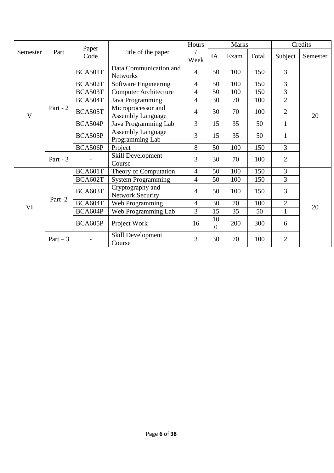|              | Part       | Paper<br>Code | Title of the paper                             | Hours                                       |                      | <b>Marks</b> |       | Credits        |              |  |
|--------------|------------|---------------|------------------------------------------------|---------------------------------------------|----------------------|--------------|-------|----------------|--------------|--|
| Semester     |            |               |                                                | Week                                        | IA                   | Exam         | Total | Subject        | Semester     |  |
|              |            | BCA501T       | Data Communication and<br><b>Networks</b>      | $\overline{4}$                              | 50                   | 100          | 150   | 3              |              |  |
|              |            | BCA502T       | Software Engineering                           | $\overline{4}$                              | 50                   | 100          | 150   | 3              |              |  |
|              |            | BCA503T       | <b>Computer Architecture</b>                   | 4                                           | 50                   | 100          | 150   | 3              |              |  |
|              |            | BCA504T       | Java Programming                               | 4                                           | 30                   | 70           | 100   | $\overline{2}$ |              |  |
| $\mathbf{V}$ | Part - $2$ | BCA505T       | Microprocessor and<br><b>Assembly Language</b> | $\overline{4}$                              | 30                   | 70           | 100   | $\overline{2}$ | 20           |  |
|              |            | BCA504P       | Java Programming Lab                           | $\overline{3}$                              | 15                   | 35           | 50    | $\mathbf{1}$   |              |  |
|              |            |               | BCA505P                                        | <b>Assembly Language</b><br>Programming Lab | 3                    | 15           | 35    | 50             | $\mathbf{1}$ |  |
|              |            | BCA506P       | Project                                        | 8                                           | 50                   | 100          | 150   | 3              |              |  |
|              | Part - $3$ |               | <b>Skill Development</b><br>Course             | 3                                           | 30                   | 70           | 100   | $\overline{2}$ |              |  |
|              | $Part-2$   | BCA601T       | Theory of Computation                          | $\overline{4}$                              | 50                   | 100          | 150   | 3              |              |  |
|              |            | BCA602T       | <b>System Programming</b>                      | $\overline{4}$                              | 50                   | 100          | 150   | 3              |              |  |
|              |            | BCA603T       | Cryptography and<br><b>Network Security</b>    | $\overline{4}$                              | 50                   | 100          | 150   | 3              |              |  |
| VI           |            | BCA604T       | Web Programming                                | $\overline{4}$                              | 30                   | 70           | 100   | $\overline{2}$ | 20           |  |
|              |            | BCA604P       | Web Programming Lab                            | 3                                           | 15                   | 35           | 50    | $\mathbf{1}$   |              |  |
|              |            | BCA605P       | Project Work                                   | 16                                          | 10<br>$\overline{0}$ | 200          | 300   | 6              |              |  |
|              | $Part - 3$ |               | Skill Development<br>Course                    | 3                                           | 30                   | 70           | 100   | 2              |              |  |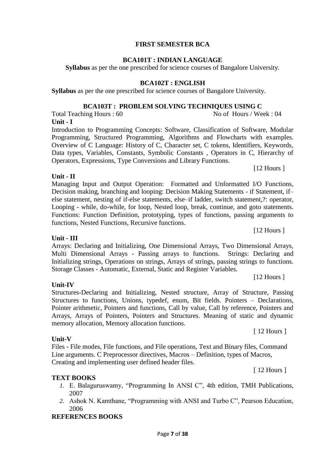#### Page **7** of **38**

#### **FIRST SEMESTER BCA**

#### **BCA101T : INDIAN LANGUAGE**

**Syllabus** as per the one prescribed for science courses of Bangalore University.

#### **BCA102T : ENGLISH**

**Syllabus** as per the one prescribed for science courses of Bangalore University.

#### **BCA103T : PROBLEM SOLVING TECHNIQUES USING C**

Total Teaching Hours : 60 No of Hours / Week : 04 **Unit - I** 

Introduction to Programming Concepts: Software, Classification of Software, Modular Programming, Structured Programming, Algorithms and Flowcharts with examples. Overview of C Language: History of C, Character set, C tokens, Identifiers, Keywords, Data types, Variables, Constants, Symbolic Constants , Operators in C, Hierarchy of Operators, Expressions, Type Conversions and Library Functions.

Managing Input and Output Operation: Formatted and Unformatted I/O Functions, Decision making, branching and looping: Decision Making Statements - if Statement, if– else statement, nesting of if-else statements, else–if ladder, switch statement,?: operator, Looping - while, do-while, for loop, Nested loop, break, continue, and goto statements. Functions: Function Definition, prototyping, types of functions, passing arguments to functions, Nested Functions, Recursive functions.

[12 Hours ]

# **Unit - III**

Arrays: Declaring and Initializing, One Dimensional Arrays, Two Dimensional Arrays, Multi Dimensional Arrays - Passing arrays to functions. Strings: Declaring and Initializing strings, Operations on strings, Arrays of strings, passing strings to functions. Storage Classes - Automatic, External, Static and Register Variables.

#### **Unit-IV**

**Unit-V**

Structures-Declaring and Initializing, Nested structure, Array of Structure, Passing Structures to functions, Unions, typedef, enum, Bit fields. Pointers – Declarations, Pointer arithmetic, Pointers and functions, Call by value, Call by reference, Pointers and Arrays, Arrays of Pointers, Pointers and Structures. Meaning of static and dynamic memory allocation, Memory allocation functions.

[ 12 Hours ]

Files - File modes, File functions, and File operations, Text and Binary files, Command Line arguments. C Preprocessor directives, Macros – Definition, types of Macros, Creating and implementing user defined header files.

[ 12 Hours ]

#### **TEXT BOOKS**

- *1.* E. Balaguruswamy, "Programming In ANSI C", 4th edition, TMH Publications, 2007
- *2.* Ashok N. Kamthane, "Programming with ANSI and Turbo C", Pearson Education, 2006

# **REFERENCES BOOKS**

**Unit - II**

[12 Hours ]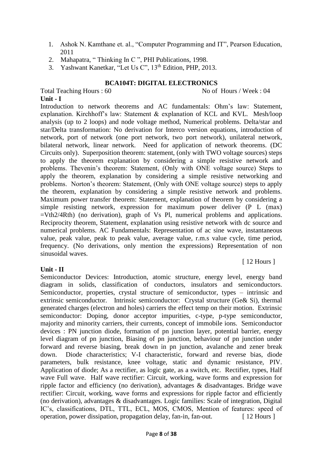- 1. Ashok N. Kamthane et. al., "Computer Programming and IT", Pearson Education, 2011
- 2. Mahapatra, " Thinking In C ", PHI Publications, 1998.
- 3. Yashwant Kanetkar, "Let Us C", 13<sup>th</sup> Edition, PHP, 2013.

### **BCA104T: DIGITAL ELECTRONICS**

Total Teaching Hours : 60 No of Hours / Week : 04 **Unit - I**

[ 12 Hours ]

Introduction to network theorems and AC fundamentals: Ohm's law: Statement, explanation. Kirchhoff's law: Statement & explanation of KCL and KVL. Mesh/loop analysis (up to 2 loops) and node voltage method, Numerical problems. Delta/star and star/Delta transformation: No derivation for Interco version equations, introduction of network, port of network (one port network, two port network), unilateral network, bilateral network, linear network. Need for application of network theorems. (DC Circuits only). Superposition theorem: statement, (only with TWO voltage sources) steps to apply the theorem explanation by considering a simple resistive network and problems. Thevenin's theorem: Statement, (Only with ONE voltage source) Steps to apply the theorem, explanation by considering a simple resistive networking and problems. Norton's theorem: Statement, (Only with ONE voltage source) steps to apply the theorem, explanation by considering a simple resistive network and problems. Maximum power transfer theorem: Statement, explanation of theorem by considering a simple resisting network, expression for maximum power deliver (P L (max) =Vth2/4Rth) (no derivation), graph of Vs Pl, numerical problems and applications. Reciprocity theorem, Statement, explanation using resistive network with dc source and numerical problems. AC Fundamentals: Representation of ac sine wave, instantaneous value, peak value, peak to peak value, average value, r.m.s value cycle, time period, frequency. (No derivations, only mention the expressions) Representation of non sinusoidal waves.

#### **Unit - II**

Semiconductor Devices: Introduction, atomic structure, energy level, energy band diagram in solids, classification of conductors, insulators and semiconductors. Semiconductor, properties, crystal structure of semiconductor, types – intrinsic and extrinsic semiconductor. Intrinsic semiconductor: Crystal structure (Ge& Si), thermal generated charges (electron and holes) carriers the effect temp on their motion. Extrinsic semiconductor: Doping, donor acceptor impurities, c-type, p-type semiconductor, majority and minority carriers, their currents, concept of immobile ions. Semiconductor devices : PN junction diode, formation of pn junction layer, potential barrier, energy level diagram of pn junction, Biasing of pn junction, behaviour of pn junction under forward and reverse biasing, break down in pn junction, avalanche and zener break down. Diode characteristics; V-I characteristic, forward and reverse bias, diode parameters, bulk resistance, knee voltage, static and dynamic resistance, PIV. Application of diode; As a rectifier, as logic gate, as a switch, etc. Rectifier, types, Half wave Full wave. Half wave rectifier: Circuit, working, wave forms and expression for ripple factor and efficiency (no derivation), advantages & disadvantages. Bridge wave rectifier: Circuit, working, wave forms and expressions for ripple factor and efficiently (no derivation), advantages & disadvantages. Logic families: Scale of integration, Digital IC's, classifications, DTL, TTL, ECL, MOS, CMOS, Mention of features: speed of operation, power dissipation, propagation delay, fan-in, fan-out. [ 12 Hours ]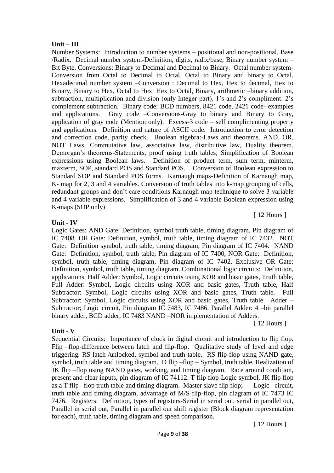#### **Unit – III**

Number Systems: Introduction to number systems – positional and non-positional, Base /Radix. Decimal number system-Definition, digits, radix/base, Binary number system – Bit Byte, Conversions: Binary to Decimal and Decimal to Binary. Octal number system-Conversion from Octal to Decimal to Octal, Octal to Binary and binary to Octal. Hexadecimal number system –Conversion : Decimal to Hex, Hex to decimal, Hex to Binary, Binary to Hex, Octal to Hex, Hex to Octal, Binary, arithmetic –binary addition, subtraction, multiplication and division (only Integer part). 1's and 2's compliment: 2's complement subtraction. Binary code: BCD numbers, 8421 code, 2421 code- examples and applications. Gray code –Conversions-Gray to binary and Binary to Gray, application of gray code (Mention only). Excess-3 code – self complimenting property and applications. Definition and nature of ASCII code. Introduction to error detection and correction code, parity check. Boolean algebra:-Laws and theorems. AND, OR, NOT Laws, Commutative law, associative law, distributive law, Duality theorem. Demorgan's theorems-Statements, proof using truth tables; Simplification of Boolean expressions using Boolean laws. Definition of product term, sum term, minterm, maxterm, SOP, standard POS and Standard POS. Conversion of Boolean expression to Standard SOP and Standard POS forms. Karnaugh maps-Definition of Karnaugh map, K- map for 2, 3 and 4 variables. Conversion of truth tables into k-map grouping of cells, redundant groups and don't care conditions Karnaugh map technique to solve 3 variable and 4 variable expressions. Simplification of 3 and 4 variable Boolean expression using K-maps (SOP only)

#### **Unit - IV**

Logic Gates: AND Gate: Definition, symbol truth table, timing diagram, Pin diagram of IC 7408. OR Gate: Definition, symbol, truth table, timing diagram of IC 7432. NOT Gate: Definition symbol, truth table, timing diagram, Pin diagram of IC 7404. NAND Gate: Definition, symbol, truth table, Pin diagram of IC 7400, NOR Gate: Definition, symbol, truth table, timing diagram, Pin diagram of IC 7402. Exclusive OR Gate: Definition, symbol, truth table, timing diagram. Combinational logic circuits: Definition, applications. Half Adder: Symbol, Logic circuits using XOR and basic gates, Truth table, Full Adder: Symbol, Logic circuits using XOR and basic gates, Truth table, Half Subtractor: Symbol, Logic circuits using XOR and basic gates, Truth table. Full Subtractor: Symbol, Logic circuits using XOR and basic gates, Truth table. Adder – Subtractor; Logic circuit, Pin diagram IC 7483, IC 7486. Parallel Adder: 4 –bit parallel binary adder, BCD adder, IC 7483 NAND –NOR implementation of Adders.

[ 12 Hours ]

[ 12 Hours ]

# **Unit - V**

Sequential Circuits:Importance of clock in digital circuit and introduction to flip flop. Flip –flop-difference between latch and flip-flop. Qualitative study of level and edge triggering. RS latch /unlocked, symbol and truth table. RS flip-flop using NAND gate, symbol, truth table and timing diagram. D flip –flop – Symbol, truth table, Realization of JK flip –flop using NAND gates, working, and timing diagram. Race around condition, present and clear inputs, pin diagram of IC 74112. T flip flop-Logic symbol, JK flip flop as a T flip –flop truth table and timing diagram. Master slave flip flop; Logic circuit, truth table and timing diagram, advantage of M/S flip-flop, pin diagram of IC 7473 IC 7476. Registers: Definition, types of registers-Serial in serial out, serial in parallel out, Parallel in serial out, Parallel in parallel our shift register (Block diagram representation for each), truth table, timing diagram and speed comparison.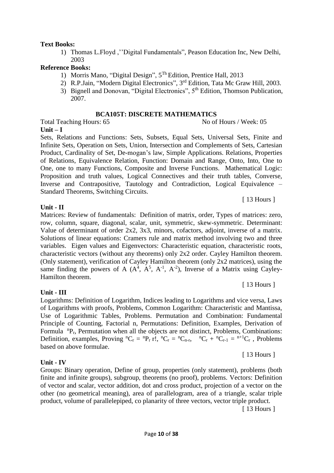#### **Text Books:**

1) Thomas L.Floyd ,''Digital Fundamentals", Peason Education Inc, New Delhi, 2003

#### **Reference Books:**

- 1) Morris Mano, "Digital Design", 5 Th Edition, Prentice Hall, 2013
- 2) R.P.Jain, "Modern Digital Electronics", 3<sup>rd</sup> Edition, Tata Mc Graw Hill, 2003.
- 3) Bignell and Donovan, "Digital Electronics", 5th Edition, Thomson Publication, 2007.

#### **BCA105T: DISCRETE MATHEMATICS**

Total Teaching Hours: 65 No of Hours / Week: 05 **Unit – I**

Sets, Relations and Functions: Sets, Subsets, Equal Sets, Universal Sets, Finite and Infinite Sets, Operation on Sets, Union, Intersection and Complements of Sets, Cartesian Product, Cardinality of Set, De-mogan's law, Simple Applications. Relations, Properties of Relations, Equivalence Relation, Function: Domain and Range, Onto, Into, One to One, one to many Functions, Composite and Inverse Functions. Mathematical Logic: Proposition and truth values, Logical Connectives and their truth tables, Converse, Inverse and Contrapositive, Tautology and Contradiction, Logical Equivalence – Standard Theorems, Switching Circuits.

#### **Unit - II**

Matrices: Review of fundamentals: Definition of matrix, order, Types of matrices: zero, row, column, square, diagonal, scalar, unit, symmetric, skew-symmetric. Determinant: Value of determinant of order 2x2, 3x3, minors, cofactors, adjoint, inverse of a matrix. Solutions of linear equations: Cramers rule and matrix method involving two and three variables. Eigen values and Eigenvectors: Characteristic equation, characteristic roots, characteristic vectors (without any theorems) only 2x2 order. Cayley Hamilton theorem. (Only statement), verification of Cayley Hamilton theorem (only 2x2 matrices), using the same finding the powers of A  $(A^4, A^5, A^{-1}, A^{-2})$ , Inverse of a Matrix using Cayley-Hamilton theorem.

#### **Unit - III**

#### Logarithms: Definition of Logarithm, Indices leading to Logarithms and vice versa, Laws of Logarithms with proofs, Problems, Common Logarithm: Characteristic and Mantissa, Use of Logarithmic Tables, Problems. Permutation and Combination: Fundamental Principle of Counting, Factorial n, Permutations: Definition, Examples, Derivation of Formula  ${}^{n}P_{r}$ , Permutation when all the objects are not distinct, Problems, Combinations: Definition, examples, Proving  ${}^nC_r = {}^nP_r r!$ ,  ${}^nC_r = {}^nC_{n-r}$ ,  ${}^nC_r + {}^nC_{r-1} = {}^{n+1}C_r$ , Problems based on above formulae. [ 13 Hours ]

#### **Unit - IV**

#### Groups: Binary operation, Define of group, properties (only statement), problems (both finite and infinite groups), subgroup, theorems (no proof), problems. Vectors: Definition of vector and scalar, vector addition, dot and cross product, projection of a vector on the other (no geometrical meaning), area of parallelogram, area of a triangle, scalar triple product, volume of parallelepiped, co planarity of three vectors, vector triple product.

[ 13 Hours ]

[ 13 Hours ]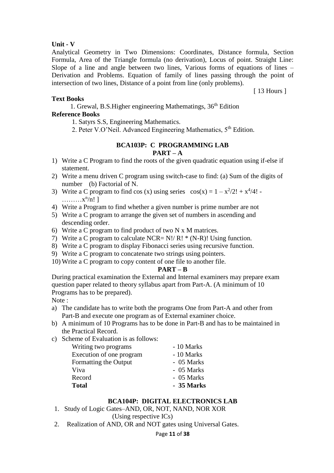### **Unit - V**

Analytical Geometry in Two Dimensions: Coordinates, Distance formula, Section Formula, Area of the Triangle formula (no derivation), Locus of point. Straight Line: Slope of a line and angle between two lines, Various forms of equations of lines – Derivation and Problems. Equation of family of lines passing through the point of intersection of two lines, Distance of a point from line (only problems).

[ 13 Hours ]

#### **Text Books**

1. Grewal, B.S. Higher engineering Mathematings,  $36<sup>th</sup>$  Edition **Reference Books**

- 1. Satyrs S.S, Engineering Mathematics.
- 2. Peter V.O'Neil. Advanced Engineering Mathematics, 5<sup>th</sup> Edition.

#### **BCA103P: C PROGRAMMING LAB PART – A**

- 1) Write a C Program to find the roots of the given quadratic equation using if-else if statement.
- 2) Write a menu driven C program using switch-case to find: (a) Sum of the digits of number (b) Factorial of N.
- 3) Write a C program to find cos (x) using series  $cos(x) = 1 x^2/2! + x^4/4!$  $\ldots \ldots \ldots x^n/n!$ ]
- 4) Write a Program to find whether a given number is prime number are not
- 5) Write a C program to arrange the given set of numbers in ascending and descending order.
- 6) Write a C program to find product of two N x M matrices.
- 7) Write a C program to calculate NCR=  $N!/ R! * (N-R)!$  Using function.
- 8) Write a C program to display Fibonacci series using recursive function.
- 9) Write a C program to concatenate two strings using pointers.
- 10) Write a C program to copy content of one file to another file.

#### **PART – B**

During practical examination the External and Internal examiners may prepare exam question paper related to theory syllabus apart from Part-A. (A minimum of 10 Programs has to be prepared).

Note :

- a) The candidate has to write both the programs One from Part-A and other from Part-B and execute one program as of External examiner choice.
- b) A minimum of 10 Programs has to be done in Part-B and has to be maintained in the Practical Record.
- c) Scheme of Evaluation is as follows:

| Writing two programs     | - 10 Marks |
|--------------------------|------------|
| Execution of one program | - 10 Marks |
| Formatting the Output    | - 05 Marks |
| Viva                     | - 05 Marks |
| Record                   | - 05 Marks |
| <b>Total</b>             | - 35 Marks |

# **BCA104P: DIGITAL ELECTRONICS LAB**

- 1. Study of Logic Gates–AND, OR, NOT, NAND, NOR XOR (Using respective ICs)
- 2. Realization of AND, OR and NOT gates using Universal Gates.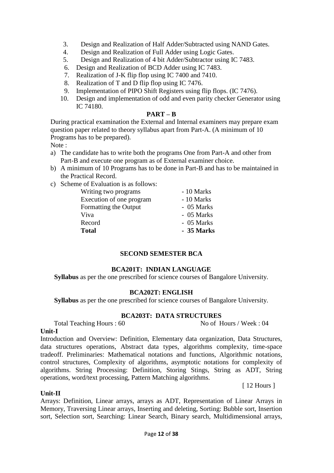- 3. Design and Realization of Half Adder/Subtracted using NAND Gates.
- 4. Design and Realization of Full Adder using Logic Gates.
- 5. Design and Realization of 4 bit Adder/Subtractor using IC 7483.
- 6. Design and Realization of BCD Adder using IC 7483.
- 7. Realization of J-K flip flop using IC 7400 and 7410.
- 8. Realization of T and D flip flop using IC 7476.
- 9. Implementation of PIPO Shift Registers using flip flops. (IC 7476).
- 10. Design and implementation of odd and even parity checker Generator using IC 74180.

#### **PART – B**

During practical examination the External and Internal examiners may prepare exam question paper related to theory syllabus apart from Part-A. (A minimum of 10 Programs has to be prepared).

Note :

- a) The candidate has to write both the programs One from Part-A and other from Part-B and execute one program as of External examiner choice.
- b) A minimum of 10 Programs has to be done in Part-B and has to be maintained in the Practical Record.
- c) Scheme of Evaluation is as follows:

| Writing two programs     | - 10 Marks |
|--------------------------|------------|
| Execution of one program | - 10 Marks |
| Formatting the Output    | - 05 Marks |
| Viva                     | - 05 Marks |
| Record                   | - 05 Marks |
| Total                    | - 35 Marks |
|                          |            |

#### **SECOND SEMESTER BCA**

#### **BCA201T: INDIAN LANGUAGE**

**Syllabus** as per the one prescribed for science courses of Bangalore University.

#### **BCA202T: ENGLISH**

**Syllabus** as per the one prescribed for science courses of Bangalore University.

#### **BCA203T: DATA STRUCTURES**

Total Teaching Hours : 60 No of Hours / Week : 04

#### **Unit-I**

Introduction and Overview: Definition, Elementary data organization, Data Structures, data structures operations, Abstract data types, algorithms complexity, time-space tradeoff. Preliminaries: Mathematical notations and functions, Algorithmic notations, control structures, Complexity of algorithms, asymptotic notations for complexity of algorithms. String Processing: Definition, Storing Stings, String as ADT, String operations, word/text processing, Pattern Matching algorithms.

[ 12 Hours ]

#### **Unit-II**

Arrays: Definition, Linear arrays, arrays as ADT, Representation of Linear Arrays in Memory, Traversing Linear arrays, Inserting and deleting, Sorting: Bubble sort, Insertion sort, Selection sort, Searching: Linear Search, Binary search, Multidimensional arrays,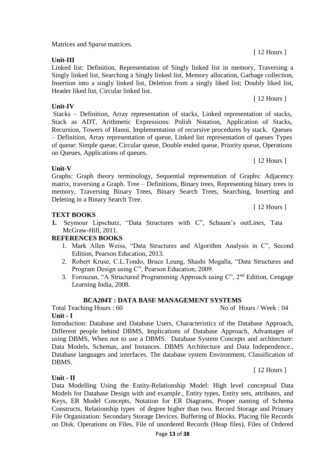Matrices and Sparse matrices.

**Unit-III**

**Unit-IV**

#### Linked list: Definition, Representation of Singly linked list in memory, Traversing a Singly linked list, Searching a Singly linked list, Memory allocation, Garbage collection, Insertion into a singly linked list, Deletion from a singly liked list; Doubly liked list, Header liked list, Circular linked list.

Stacks – Definition, Array representation of stacks, Linked representation of stacks, Stack as ADT, Arithmetic Expressions: Polish Notation, Application of Stacks, Recursion, Towers of Hanoi, Implementation of recursive procedures by stack. Queues – Definition, Array representation of queue, Linked list representation of queues Types of queue: Simple queue, Circular queue, Double ended queue, Priority queue, Operations on Queues, Applications of queues.

# **Unit-V**

Graphs: Graph theory terminology, Sequential representation of Graphs: Adjacency matrix, traversing a Graph. Tree – Definitions, Binary trees, Representing binary trees in memory, Traversing Binary Trees, Binary Search Trees, Searching, Inserting and Deleting in a Binary Search Tree.

# **TEXT BOOKS**

**1.** Seymour Lipschutz, "Data Structures with C", Schaum's outL*ines*, Tata McGraw-Hill, 2011.

# **REFERENCES BOOKS**

- 1. Mark Allen Weiss, "Data Structures and Algorithm Analysis in C", Second Edition, Pearson Education, 2013.
- 2. Robert Kruse, C.L.Tondo, Bruce Leung, Shashi Mogalla, "Data Structures and Program Design using C", Pearson Education, 2009.
- 3. Forouzan, "A Structured Programming Approach using C", 2nd Edition, Cengage Learning India, 2008.

# **BCA204T : DATA BASE MANAGEMENT SYSTEMS**

Total Teaching Hours : 60 No of Hours / Week : 04

**Unit - I**

**Unit - II**

Introduction: Database and Database Users, Characteristics of the Database Approach, Different people behind DBMS, Implications of Database Approach, Advantages of using DBMS, When not to use a DBMS. Database System Concepts and architecture: Data Models, Schemas, and Instances. DBMS Architecture and Data Independence., Database languages and interfaces. The database system Environment, Classification of DBMS.

Data Modelling Using the Entity-Relationship Model: High level conceptual Data Models for Database Design with and example., Entity types, Entity sets, attributes, and Keys, ER Model Concepts, Notation for ER Diagrams, Proper naming of Schema Constructs, Relationship types of degree higher than two. Record Storage and Primary File Organization: Secondary Storage Devices. Buffering of Blocks. Placing file Records

[ 12 Hours ]

[ 12 Hours ]

[ 12 Hours ]

[ 12 Hours ]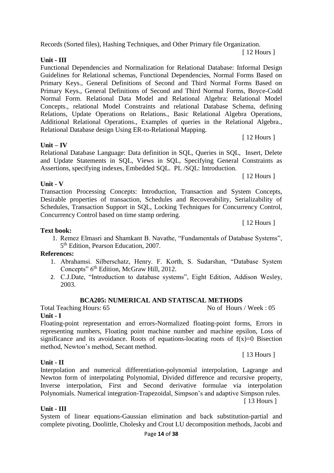Records (Sorted files), Hashing Techniques, and Other Primary file Organization.

**Unit - III**

Functional Dependencies and Normalization for Relational Database: Informal Design Guidelines for Relational schemas, Functional Dependencies, Normal Forms Based on Primary Keys., General Definitions of Second and Third Normal Forms Based on Primary Keys., General Definitions of Second and Third Normal Forms, Boyce-Codd Normal Form. Relational Data Model and Relational Algebra: Relational Model Concepts., relational Model Constraints and relational Database Schema, defining Relations, Update Operations on Relations., Basic Relational Algebra Operations, Additional Relational Operations., Examples of queries in the Relational Algebra., Relational Database design Using ER-to-Relational Mapping. [ 12 Hours ]

**Unit – IV**

Relational Database Language: Data definition in SQL, Queries in SQL, Insert, Delete and Update Statements in SQL, Views in SQL, Specifying General Constraints as Assertions, specifying indexes, Embedded SQL. PL /SQL: Introduction.

**Unit - V**

Transaction Processing Concepts: Introduction, Transaction and System Concepts, Desirable properties of transaction, Schedules and Recoverability, Serializability of Schedules, Transaction Support in SQL, Locking Techniques for Concurrency Control, Concurrency Control based on time stamp ordering.

[ 12 Hours ]

[ 12 Hours ]

**Text book:**

1. Remez Elmasri and Shamkant B. Navathe, "Fundamentals of Database Systems", 5<sup>th</sup> Edition, Pearson Education, 2007.

#### **References:**

- 1. Abrahamsi. Silberschatz, Henry. F. Korth, S. Sudarshan, "Database System Concepts" 6<sup>th</sup> Edition, McGraw Hill, 2012.
- 2. C.J.Date, "Introduction to database systems", Eight Edition, Addison Wesley, 2003.

# **BCA205: NUMERICAL AND STATISCAL METHODS**

Total Teaching Hours: 65 No of Hours / Week : 05 **Unit - I**

Floating-point representation and errors-Normalized floating-point forms, Errors in representing numbers, Floating point machine number and machine epsilon, Loss of significance and its avoidance. Roots of equations-locating roots of  $f(x)=0$  Bisection method, Newton's method, Secant method.

#### **Unit - II**

Interpolation and numerical differentiation-polynomial interpolation, Lagrange and Newton form of interpolating Polynomial, Divided difference and recursive property, Inverse interpolation, First and Second derivative formulae via interpolation Polynomials. Numerical integration-Trapezoidal, Simpson's and adaptive Simpson rules. [ 13 Hours ]

# **Unit - III**

System of linear equations-Gaussian elimination and back substitution-partial and complete pivoting, Doolittle, Cholesky and Crout LU decomposition methods, Jacobi and

[ 13 Hours ]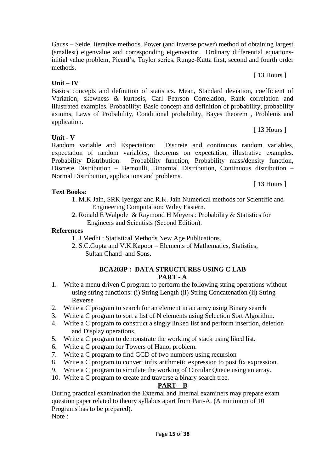Page **15** of **38**

Gauss – Seidel iterative methods. Power (and inverse power) method of obtaining largest (smallest) eigenvalue and corresponding eigenvector. Ordinary differential equationsinitial value problem, Picard's, Taylor series, Runge-Kutta first, second and fourth order methods.

# **Unit – IV**

Basics concepts and definition of statistics. Mean, Standard deviation, coefficient of Variation, skewness & kurtosis, Carl Pearson Correlation, Rank correlation and illustrated examples. Probability: Basic concept and definition of probability, probability axioms, Laws of Probability, Conditional probability, Bayes theorem , Problems and application.

**Unit - V**

Random variable and Expectation: Discrete and continuous random variables, expectation of random variables, theorems on expectation, illustrative examples. Probability Distribution: Probability function, Probability mass/density function, Discrete Distribution – Bernoulli, Binomial Distribution, Continuous distribution – Normal Distribution, applications and problems.

# **Text Books:**

- 1. M.K.Jain, SRK Iyengar and R.K. Jain Numerical methods for Scientific and Engineering Computation: Wiley Eastern.
- 2. Ronald E Walpole & Raymond H Meyers : Probability & Statistics for Engineers and Scientists (Second Edition).

# **References**

- 1. J.Medhi : Statistical Methods New Age Publications.
- 2. S.C.Gupta and V.K.Kapoor Elements of Mathematics, Statistics, Sultan Chand and Sons.

### **BCA203P : DATA STRUCTURES USING C LAB PART - A**

- 1. Write a menu driven C program to perform the following string operations without using string functions: (i) String Length (ii) String Concatenation (ii) String Reverse
- 2. Write a C program to search for an element in an array using Binary search
- 3. Write a C program to sort a list of N elements using Selection Sort Algorithm.
- 4. Write a C program to construct a singly linked list and perform insertion, deletion and Display operations.
- 5. Write a C program to demonstrate the working of stack using liked list.
- 6. Write a C program for Towers of Hanoi problem.
- 7. Write a C program to find GCD of two numbers using recursion
- 8. Write a C program to convert infix arithmetic expression to post fix expression.
- 9. Write a C program to simulate the working of Circular Queue using an array.
- 10. Write a C program to create and traverse a binary search tree.

# **PART – B**

During practical examination the External and Internal examiners may prepare exam question paper related to theory syllabus apart from Part-A. (A minimum of 10 Programs has to be prepared). Note :

[ 13 Hours ]

[ 13 Hours ]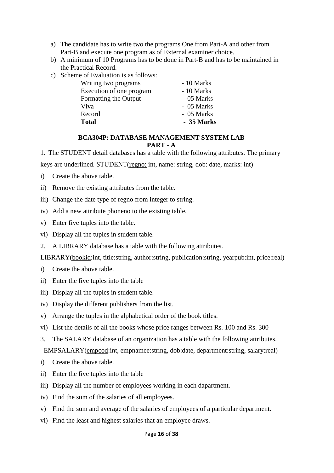- a) The candidate has to write two the programs One from Part-A and other from Part-B and execute one program as of External examiner choice.
- b) A minimum of 10 Programs has to be done in Part-B and has to be maintained in the Practical Record.
- c) Scheme of Evaluation is as follows:

| Writing two programs     | - 10 Marks |
|--------------------------|------------|
| Execution of one program | - 10 Marks |
| Formatting the Output    | - 05 Marks |
| Viva                     | - 05 Marks |
| Record                   | - 05 Marks |
| <b>Total</b>             | - 35 Marks |

#### **BCA304P: DATABASE MANAGEMENT SYSTEM LAB PART - A**

1. The STUDENT detail databases has a table with the following attributes. The primary

keys are underlined. STUDENT(regno: int, name: string, dob: date, marks: int)

i) Create the above table.

ii) Remove the existing attributes from the table.

- iii) Change the date type of regno from integer to string.
- iv) Add a new attribute phoneno to the existing table.
- v) Enter five tuples into the table.
- vi) Display all the tuples in student table.
- 2. A LIBRARY database has a table with the following attributes.

LIBRARY(bookid:int, title:string, author:string, publication:string, yearpub:int, price:real)

- i) Create the above table.
- ii) Enter the five tuples into the table
- iii) Display all the tuples in student table.
- iv) Display the different publishers from the list.
- v) Arrange the tuples in the alphabetical order of the book titles.
- vi) List the details of all the books whose price ranges between Rs. 100 and Rs. 300
- 3. The SALARY database of an organization has a table with the following attributes.

EMPSALARY(empcod:int, empnamee:string, dob:date, department:string, salary:real)

- i) Create the above table.
- ii) Enter the five tuples into the table
- iii) Display all the number of employees working in each dapartment.
- iv) Find the sum of the salaries of all employees.
- v) Find the sum and average of the salaries of employees of a particular department.
- vi) Find the least and highest salaries that an employee draws.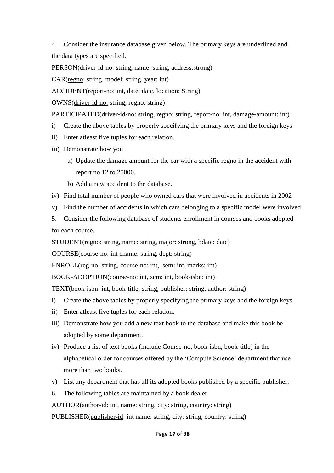4. Consider the insurance database given below. The primary keys are underlined and the data types are specified.

PERSON(driver-id-no: string, name: string, address:strong)

CAR(regno: string, model: string, year: int)

ACCIDENT(report-no: int, date: date, location: String)

OWNS(driver-id-no: string, regno: string)

PARTICIPATED(driver-id-no: string, regno: string, report-no: int, damage-amount: int)

- i) Create the above tables by properly specifying the primary keys and the foreign keys
- ii) Enter atleast five tuples for each relation.
- iii) Demonstrate how you
	- a) Update the damage amount for the car with a specific regno in the accident with report no 12 to 25000.
	- b) Add a new accident to the database.
- iv) Find total number of people who owned cars that were involved in accidents in 2002
- v) Find the number of accidents in which cars belonging to a specific model were involved

5. Consider the following database of students enrollment in courses and books adopted for each course.

STUDENT(regno: string, name: string, major: strong, bdate: date)

COURSE(course-no: int cname: string, dept: string)

ENROLL(reg-no: string, course-no: int, sem: int, marks: int)

BOOK-ADOPTION(course-no: int, sem: int, book-isbn: int)

TEXT(book-isbn: int, book-title: string, publisher: string, author: string)

- i) Create the above tables by properly specifying the primary keys and the foreign keys
- ii) Enter atleast five tuples for each relation.
- iii) Demonstrate how you add a new text book to the database and make this book be adopted by some department.
- iv) Produce a list of text books (include Course-no, book-isbn, book-title) in the alphabetical order for courses offered by the 'Compute Science' department that use more than two books.
- v) List any department that has all its adopted books published by a specific publisher.
- 6. The following tables are maintained by a book dealer

AUTHOR(author-id: int, name: string, city: string, country: string)

PUBLISHER(publisher-id: int name: string, city: string, country: string)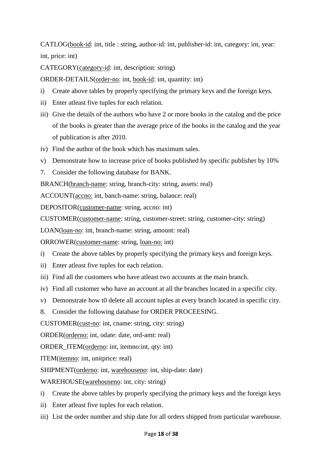CATLOG(book-id: int, title : string, author-id: int, publisher-id: int, category: int, year: int, price: int)

CATEGORY(category-id: int, description: string)

ORDER-DETAILS(order-no: int, book-id: int, quantity: int)

- i) Create above tables by properly specifying the primary keys and the foreign keys.
- ii) Enter atleast five tuples for each relation.
- iii) Give the details of the authors who have 2 or more books in the catalog and the price of the books is greater than the average price of the books in the catalog and the year of publication is after 2010.
- iv) Find the author of the book which has maximum sales.
- v) Demonstrate how to increase price of books published by specific publisher by 10%
- 7. Consider the following database for BANK.

BRANCH(branch-name: string, branch-city: string, assets: real)

ACCOUNT(accno: int, banch-name: string, balance: real)

DEPOSITOR(customer-name: string, accno: int)

CUSTOMER(customer-name: string, customer-street: string, customer-city: string)

LOAN(loan-no: int, branch-name: string, amount: real)

ORROWER(customer-name: string, loan-no: int)

- i) Create the above tables by properly specifying the primary keys and foreign keys.
- ii) Enter atleast five tuples for each relation.
- iii) Find all the customers who have atleast two accounts at the main branch.
- iv) Find all customer who have an account at all the branches located in a specific city.
- v) Demonstrate how t0 delete all account tuples at every branch located in specific city.
- 8. Consider the following database for ORDER PROCEESING.

CUSTOMER(cust-no: int, cname: string, city: string)

ORDER(orderno: int, odate: date, ord-amt: real)

ORDER\_ITEM(orderno: int, itemno:int, qty: int)

ITEM(itemno: int, unitprice: real)

SHIPMENT(orderno: int, warehouseno: int, ship-date: date)

WAREHOUSE(warehouseno: int, city: string)

- i) Create the above tables by properly specifying the primary keys and the foreign keys
- ii) Enter atleast five tuples for each relation.
- iii) List the order number and ship date for all orders shipped from particular warehouse.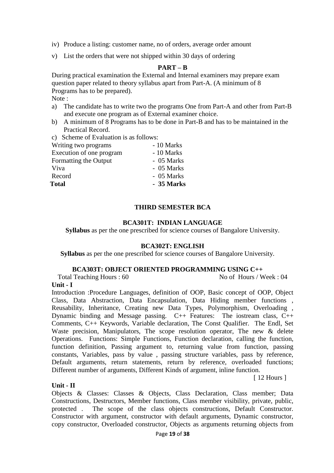- iv) Produce a listing: customer name, no of orders, average order amount
- v) List the orders that were not shipped within 30 days of ordering

#### **PART – B**

During practical examination the External and Internal examiners may prepare exam question paper related to theory syllabus apart from Part-A. (A minimum of 8 Programs has to be prepared).

Note :

- a) The candidate has to write two the programs One from Part-A and other from Part-B and execute one program as of External examiner choice.
- b) A minimum of 8 Programs has to be done in Part-B and has to be maintained in the Practical Record.
- c) Scheme of Evaluation is as follows:

| Writing two programs     | - 10 Marks |
|--------------------------|------------|
| Execution of one program | - 10 Marks |
| Formatting the Output    | - 05 Marks |
| Viva                     | - 05 Marks |
| Record                   | - 05 Marks |
| <b>Total</b>             | - 35 Marks |
|                          |            |

#### **THIRD SEMESTER BCA**

#### **BCA301T: INDIAN LANGUAGE**

**Syllabus** as per the one prescribed for science courses of Bangalore University.

#### **BCA302T: ENGLISH**

**Syllabus** as per the one prescribed for science courses of Bangalore University.

#### **BCA303T: OBJECT ORIENTED PROGRAMMING USING C++**

Total Teaching Hours : 60 No of Hours / Week : 04

#### **Unit - I**

Introduction :Procedure Languages, definition of OOP, Basic concept of OOP, Object Class, Data Abstraction, Data Encapsulation, Data Hiding member functions , Reusability, Inheritance, Creating new Data Types, Polymorphism, Overloading , Dynamic binding and Message passing. C++ Features: The iostream class, C++ Comments, C++ Keywords, Variable declaration, The Const Qualifier. The Endl, Set Waste precision, Manipulators, The scope resolution operator, The new & delete Operations. Functions: Simple Functions, Function declaration, calling the function, function definition, Passing argument to, returning value from function, passing constants, Variables, pass by value , passing structure variables, pass by reference, Default arguments, return statements, return by reference, overloaded functions; Different number of arguments, Different Kinds of argument, inline function.

[ 12 Hours ]

#### **Unit - II**

Objects & Classes: Classes & Objects, Class Declaration, Class member; Data Constructions, Destructors, Member functions, Class member visibility, private, public, protected . The scope of the class objects constructions, Default Constructor. Constructor with argument, constructor with default arguments, Dynamic constructor, copy constructor, Overloaded constructor, Objects as arguments returning objects from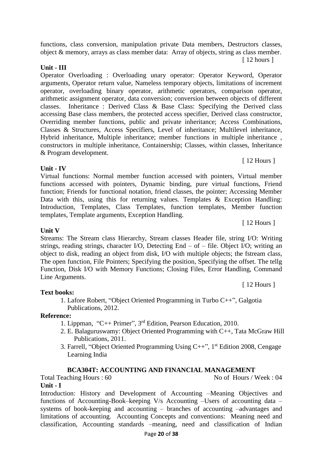functions, class conversion, manipulation private Data members, Destructors classes, object & memory, arrays as class member data: Array of objects, string as class member. [ 12 hours ]

#### **Unit - III**

Operator Overloading : Overloading unary operator: Operator Keyword, Operator arguments, Operator return value, Nameless temporary objects, limitations of increment operator, overloading binary operator, arithmetic operators, comparison operator, arithmetic assignment operator, data conversion; conversion between objects of different classes. Inheritance : Derived Class & Base Class: Specifying the Derived class accessing Base class members, the protected access specifier, Derived class constructor, Overriding member functions, public and private inheritance; Access Combinations, Classes & Structures, Access Specifiers, Level of inheritance; Multilevel inheritance, Hybrid inheritance, Multiple inheritance; member functions in multiple inheritance , constructors in multiple inheritance, Containership; Classes, within classes, Inheritance & Program development.

### **Unit - IV**

Virtual functions: Normal member function accessed with pointers, Virtual member functions accessed with pointers, Dynamic binding, pure virtual functions, Friend function; Friends for functional notation, friend classes, the pointer; Accessing Member Data with this, using this for returning values. Templates & Exception Handling: Introduction, Templates, Class Templates, function templates, Member function templates, Template arguments, Exception Handling.

**Unit V** Streams: The Stream class Hierarchy, Stream classes Header file, string I/O: Writing strings, reading strings, character I/O, Detecting End – of – file. Object I/O; writing an object to disk, reading an object from disk, I/O with multiple objects; the fstream class, The open function, File Pointers; Specifying the position, Specifying the offset. The tellg Function, Disk I/O with Memory Functions; Closing Files, Error Handling, Command

Line Arguments.

**Text books:**

1. Lafore Robert, "Object Oriented Programming in Turbo C++", Galgotia Publications, 2012.

#### **Reference:**

- 1. Lippman, "C++ Primer", 3rd Edition, Pearson Education, 2010.
- 2. E. Balaguruswamy: Object Oriented Programming with C++, Tata McGraw Hill Publications, 2011.
- 3. Farrell, "Object Oriented Programming Using C++", 1st Edition 2008, Cengage Learning India

#### **BCA304T: ACCOUNTING AND FINANCIAL MANAGEMENT**

Total Teaching Hours : 60 No of Hours / Week : 04 **Unit - I**

Introduction: History and Development of Accounting –Meaning Objectives and functions of Accounting-Book–keeping V/s Accounting –Users of accounting data – systems of book-keeping and accounting – branches of accounting –advantages and limitations of accounting. Accounting Concepts and conventions: Meaning need and classification, Accounting standards –meaning, need and classification of Indian

[ 12 Hours ]

[ 12 Hours ]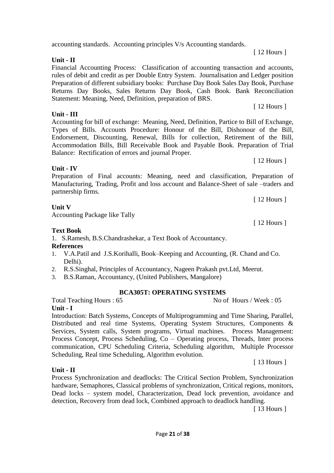Dead locks – system model, Characterization, Dead lock prevention, avoidance and

accounting standards. Accounting principles V/s Accounting standards.

**Unit - II**

Financial Accounting Process: Classification of accounting transaction and accounts, rules of debit and credit as per Double Entry System. Journalisation and Ledger position Preparation of different subsidiary books: Purchase Day Book Sales Day Book, Purchase Returns Day Books, Sales Returns Day Book, Cash Book. Bank Reconciliation Statement: Meaning, Need, Definition, preparation of BRS.

**Unit - III**

Accounting for bill of exchange: Meaning, Need, Definition, Partice to Bill of Exchange, Types of Bills. Accounts Procedure: Honour of the Bill, Dishonour of the Bill, Endorsement, Discounting, Renewal, Bills for collection, Retirement of the Bill, Accommodation Bills, Bill Receivable Book and Payable Book. Preparation of Trial Balance: Rectification of errors and journal Proper.

# **Unit - IV**

Preparation of Final accounts: Meaning, need and classification, Preparation of Manufacturing, Trading, Profit and loss account and Balance-Sheet of sale –traders and partnership firms.

**Unit V** Accounting Package like Tally

### **Text Book**

1. S.Ramesh, B.S.Chandrashekar, a Text Book of Accountancy.

#### **References**

- 1. V.A.Patil and J.S.Korihalli, Book–Keeping and Accounting, (R. Chand and Co. Delhi).
- 2. R.S.Singhal, Principles of Accountancy, Nageen Prakash pvt.Ltd, Meerut.
- 3. B.S.Raman, Accountancy, (United Publishers, Mangalore)

#### **BCA305T: OPERATING SYSTEMS**

Total Teaching Hours : 65 No of Hours / Week : 05

**Unit - I**

**Unit - II**

Introduction: Batch Systems, Concepts of Multiprogramming and Time Sharing, Parallel, Distributed and real time Systems, Operating System Structures, Components & Services, System calls, System programs, Virtual machines. Process Management: Process Concept, Process Scheduling, Co – Operating process, Threads, Inter process communication, CPU Scheduling Criteria, Scheduling algorithm, Multiple Processor Scheduling, Real time Scheduling, Algorithm evolution.

[ 13 Hours ]

Process Synchronization and deadlocks: The Critical Section Problem, Synchronization hardware, Semaphores, Classical problems of synchronization, Critical regions, monitors,

detection, Recovery from dead lock, Combined approach to deadlock handling. [ 13 Hours ]

[ 12 Hours ]

[ 12 Hours ]

[ 12 Hours ]

[ 12 Hours ]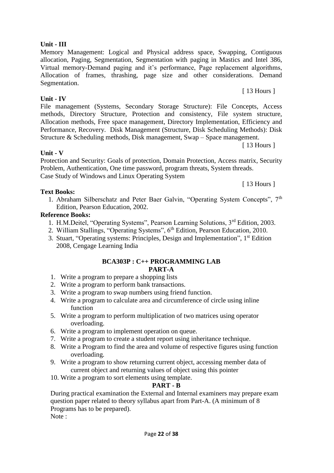#### Page **22** of **38**

#### **Unit - III**

Memory Management: Logical and Physical address space, Swapping, Contiguous allocation, Paging, Segmentation, Segmentation with paging in Mastics and Intel 386, Virtual memory-Demand paging and it's performance, Page replacement algorithms, Allocation of frames, thrashing, page size and other considerations. Demand Segmentation. [ 13 Hours ]

### **Unit - IV**

File management (Systems, Secondary Storage Structure): File Concepts, Access methods, Directory Structure, Protection and consistency, File system structure, Allocation methods, Free space management, Directory Implementation, Efficiency and Performance, Recovery. Disk Management (Structure, Disk Scheduling Methods): Disk Structure & Scheduling methods, Disk management, Swap – Space management.

[ 13 Hours ]

### **Unit - V**

Protection and Security: Goals of protection, Domain Protection, Access matrix, Security Problem, Authentication, One time password, program threats, System threads. Case Study of Windows and Linux Operating System

#### **Text Books:**

1. Abraham Silberschatz and Peter Baer Galvin, "Operating System Concepts", 7th Edition, Pearson Education, 2002.

### **Reference Books:**

- 1. H.M.Deitel, "Operating Systems", Pearson Learning Solutions, 3rd Edition, 2003.
- 2. William Stallings, "Operating Systems", 6<sup>th</sup> Edition, Pearson Education, 2010.
- 3. Stuart, "Operating systems: Principles, Design and Implementation", 1st Edition 2008, Cengage Learning India

#### **BCA303P : C++ PROGRAMMING LAB PART-A**

- 1. Write a program to prepare a shopping lists
- 2. Write a program to perform bank transactions.
- 3. Write a program to swap numbers using friend function.
- 4. Write a program to calculate area and circumference of circle using inline function
- 5. Write a program to perform multiplication of two matrices using operator overloading.
- 6. Write a program to implement operation on queue.
- 7. Write a program to create a student report using inheritance technique.
- 8. Write a Program to find the area and volume of respective figures using function overloading.
- 9. Write a program to show returning current object, accessing member data of current object and returning values of object using this pointer
- 10. Write a program to sort elements using template.

# **PART - B**

During practical examination the External and Internal examiners may prepare exam question paper related to theory syllabus apart from Part-A. (A minimum of 8 Programs has to be prepared).

Note :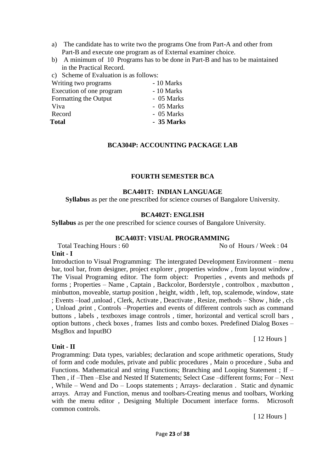- a) The candidate has to write two the programs One from Part-A and other from Part-B and execute one program as of External examiner choice.
- b) A minimum of 10 Programs has to be done in Part-B and has to be maintained in the Practical Record.
- c) Scheme of Evaluation is as follows:

| Writing two programs     | - 10 Marks |
|--------------------------|------------|
| Execution of one program | - 10 Marks |
| Formatting the Output    | - 05 Marks |
| Viva                     | - 05 Marks |
| Record                   | - 05 Marks |
| <b>Total</b>             | - 35 Marks |
|                          |            |

#### **BCA304P: ACCOUNTING PACKAGE LAB**

#### **FOURTH SEMESTER BCA**

#### **BCA401T: INDIAN LANGUAGE**

**Syllabus** as per the one prescribed for science courses of Bangalore University.

#### **BCA402T: ENGLISH**

**Syllabus** as per the one prescribed for science courses of Bangalore University.

#### **BCA403T: VISUAL PROGRAMMING**

Total Teaching Hours : 60 No of Hours / Week : 04

#### **Unit - I**

Introduction to Visual Programming: The intergrated Development Environment – menu bar, tool bar, from designer, project explorer , properties window , from layout window , The Visual Programing editor. The form object: Properties , events and methods pf forms ; Properties – Name , Captain , Backcolor, Borderstyle , controlbox , maxbutton , minbutton, moveable, startup position , height, width , left, top, scalemode, window, state ; Events –load ,unload , Clerk, Activate , Deactivate , Resize, methods – Show , hide , cls , Unload ,print , Controls –Properties and events of different controls such as command buttons , labels , textboxes image controls , timer, horizontal and vertical scroll bars , option buttons , check boxes , frames lists and combo boxes. Predefined Dialog Boxes – MsgBox and InputBO

#### **Unit - II**

Programming: Data types, variables; declaration and scope arithmetic operations, Study of form and code modules, private and public procedures , Main o procedure , Suba and Functions. Mathematical and string Functions; Branching and Looping Statement ; If – Then , if –Then –Else and Nested If Statements; Select Case –different forms; For – Next , While – Wend and Do – Loops statements ; Arrays- declaration . Static and dynamic arrays. Array and Function, menus and toolbars-Creating menus and toolbars, Working with the menu editor , Designing Multiple Document interface forms. Microsoft common controls.

[ 12 Hours ]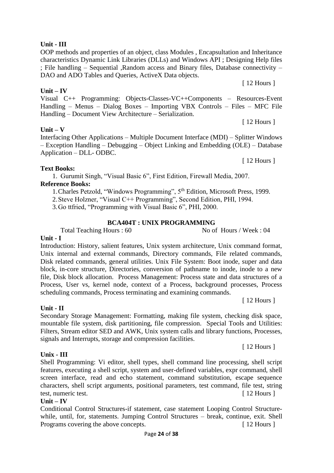### **Unit - III**

OOP methods and properties of an object, class Modules , Encapsultation and Inheritance characteristics Dynamic Link Libraries (DLLs) and Windows API ; Designing Help files ; File handling – Sequential ,Random access and Binary files, Database connectivity – DAO and ADO Tables and Queries, ActiveX Data objects.

**Unit – IV**

#### Visual C++ Programming: Objects-Classes-VC++Components – Resources-Event Handling – Menus – Dialog Boxes – Importing VBX Controls – Files – MFC File Handling – Document View Architecture – Serialization.

### **Unit – V**

Interfacing Other Applications – Multiple Document Interface (MDI) – Splitter Windows – Exception Handling – Debugging – Object Linking and Embedding (OLE) – Database Application – DLL- ODBC.

### **Text Books:**

**Unit - I**

1. Gurumit Singh, "Visual Basic 6", First Edition, Firewall Media, 2007. **Reference Books:**

1.Charles Petzold, "Windows Programming", 5th Edition, Microsoft Press, 1999.

2.Steve Holzner, "Visual C++ Programming", Second Edition, PHI, 1994.

3.Go ttfried, "Programming with Visual Basic 6", PHI, 2000.

#### **BCA404T : UNIX PROGRAMMING**

Total Teaching Hours : 60 No of Hours / Week : 04

Introduction: History, salient features, Unix system architecture, Unix command format, Unix internal and external commands, Directory commands, File related commands, Disk related commands, general utilities. Unix File System: Boot inode, super and data block, in-core structure, Directories, conversion of pathname to inode, inode to a new file, Disk block allocation. Process Management: Process state and data structures of a Process, User vs, kernel node, context of a Process, background processes, Process scheduling commands, Process terminating and examining commands. [ 12 Hours ]

Secondary Storage Management: Formatting, making file system, checking disk space, mountable file system, disk partitioning, file compression. Special Tools and Utilities: Filters, Stream editor SED and AWK, Unix system calls and library functions, Processes, signals and Interrupts, storage and compression facilities.

#### **Unix - III**

**Unit - II**

Shell Programming: Vi editor, shell types, shell command line processing, shell script features, executing a shell script, system and user-defined variables, expr command, shell screen interface, read and echo statement, command substitution, escape sequence characters, shell script arguments, positional parameters, test command, file test, string test, numeric test.  $\lceil 12 \text{ Hours} \rceil$ 

#### **Unit – IV**

Conditional Control Structures-if statement, case statement Looping Control Structurewhile, until, for, statements. Jumping Control Structures – break, continue, exit. Shell Programs covering the above concepts. [ 12 Hours ]

[ 12 Hours ]

[ 12 Hours ]

[ 12 Hours ]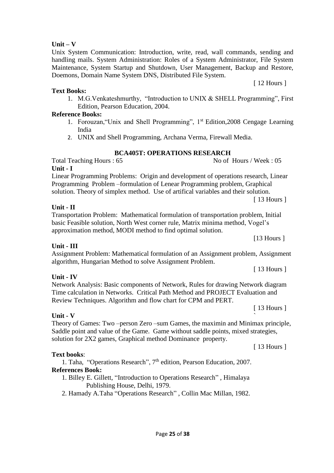#### **Unit – V**

Unix System Communication: Introduction, write, read, wall commands, sending and handling mails. System Administration: Roles of a System Administrator, File System Maintenance, System Startup and Shutdown, User Management, Backup and Restore, Doemons, Domain Name System DNS, Distributed File System.

#### **Text Books:**

1. M.G.Venkateshmurthy, "Introduction to UNIX & SHELL Programming", First Edition, Pearson Education, 2004.

#### **Reference Books:**

- 1. Forouzan,"Unix and Shell Programming", 1st Edition,2008 Cengage Learning India
- 2. UNIX and Shell Programming, Archana Verma, Firewall Media.

### **BCA405T: OPERATIONS RESEARCH**

**Unit - I** Linear Programming Problems: Origin and development of operations research, Linear Programming Problem –formulation of Lenear Programming problem, Graphical

solution. Theory of simplex method. Use of artifical variables and their solution.

### **Unit - II**

Transportation Problem: Mathematical formulation of transportation problem, Initial basic Feasible solution, North West corner rule, Matrix minima method, Vogel's approximation method, MODI method to find optimal solution.

# **Unit - III**

Assignment Problem: Mathematical formulation of an Assignment problem, Assignment algorithm, Hungarian Method to solve Assignment Problem.

# **Unit - IV**

#### Network Analysis: Basic components of Network, Rules for drawing Network diagram Time calculation in Networks. Critical Path Method and PROJECT Evaluation and Review Techniques. Algorithm and flow chart for CPM and PERT.

[ 13 Hours ]

[ 13 Hours ]

# **Unit - V** `

Theory of Games: Two –person Zero –sum Games, the maximin and Minimax principle, Saddle point and value of the Game. Game without saddle points, mixed strategies, solution for 2X2 games, Graphical method Dominance property.

#### **Text books**:

1. Taha, "Operations Research", 7<sup>th</sup> edition, Pearson Education, 2007. **References Book:**

- 1. Billey E. Gillett, "Introduction to Operations Research" , Himalaya Publishing House, Delhi, 1979.
- 2. Hamady A.Taha "Operations Research" , Collin Mac Millan, 1982.

[13 Hours ]

[ 13 Hours ]

[ 13 Hours ]

Total Teaching Hours : 65 No of Hours / Week : 05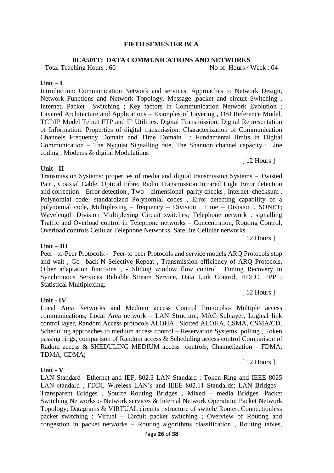#### **FIFTH SEMESTER BCA**

#### **BCA501T: DATA COMMUNICATIONS AND NETWORKS**

Total Teaching Hours : 60 No of Hours / Week : 04

#### **Unit – I**

Introduction: Communication Network and services, Approaches to Network Design, Network Functions and Network Topology, Message ,packet and circuit Switching , Internet, Packet Switching ; Key factors in Communication Network Evolution ; Layered Architecture and Applications – Examples of Layering , OSI Reference Model, TCP/IP Model Telnet FTP and IP Utilities. Digital Transmission: Digital Representation of Information: Properties of digital transmission: Characterization of Communication Channels Frequency Domain and Time Domain : Fundamental limits in Digital Communication – The Nyquist Signalling rate, The Shannon channel capacity : Line coding , Modems & digital Modulations

#### **Unit - II**

Transmission Systems: properties of media and digital transmission Systems – Twisted Pair , Coaxial Cable, Optical Fibre, Radio Transmission Intrared Light Error detection and correction – Error detection , Two – dimensional parity checks , Internet checksum , Polynomial code; standardized Polynomial codes , Error detecting capability of a polynomial code, Multiplexing – frequency – Division , Time – Division , SONET; Wavelength Division Multiplexing Circuit switches; Telephone network , signalling Traffic and Overload control in Telephone networks – Concentration, Routing Control, Overload controls Cellular Telephone Networks, Satellite Cellular networks.

#### **Unit – III**

Peer –to-Peer Protocols:- Peer-to peer Protocols and service models ARQ Protocols stop and wait , Go –back-N Selective Repeat , Transmission efficiency of ARQ Protocols, Other adaptation functions , - Sliding window flow control Timing Recovery in Synchronous Services Reliable Stream Service, Data Link Control, HDLC, PPP ; Statistical Multiplexing.

#### **Unit - IV**

Local Area Networks and Medium access Control Protocols:- Multiple access communications; Local Area network – LAN Structure, MAC Sublayer, Logical link control layer, Random Access protocols ALOHA , Slotted ALOHA, CSMA, CSMA/CD, Scheduling approaches to medium access control – Reservation Systems, polling , Token passing rings, comparison of Random access & Scheduling access control Comparison of Radom access & SHEDULING MEDIUM access controls; Channelization – FDMA, TDMA, CDMA;

#### **Unit - V**

LAN Standard –Ethernet and IEF, 802.3 LAN Standard ; Token Ring and IEEE 8025 LAN standard , FDDI, Wireless LAN's and IEEE 802.11 Standards; LAN Bridges – Transparent Bridges , Source Routing Bridges , Mixed – media Bridges. Packet Switching Networks :- Network services & Internal Network Operation; Packet Network Topology; Datagrams & VIRTUAL circuits ; structure of switch/ Router, Connectionless packet switching ; Virtual – Circuit packet switching ; Overview of Routing and congestion in packet networks – Routing algorithms classification , Routing tables,

### [ 12 Hours ]

[ 12 Hours ]

[ 12 Hours ]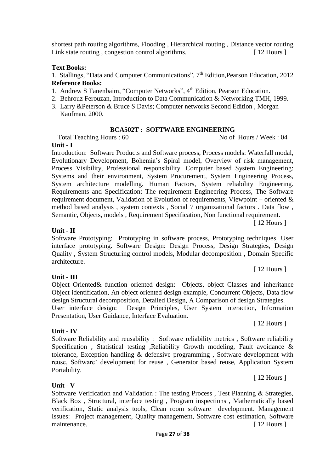Page **27** of **38**

**Unit - V**

Portability.

Software Verification and Validation : The testing Process , Test Planning & Strategies, Black Box , Structural, interface testing , Program inspections , Mathematically based verification, Static analysis tools, Clean room software development. Management Issues: Project management, Quality management, Software cost estimation, Software maintenance. [ 12 Hours ]

#### Object identification, An object oriented design example, Concurrent Objects, Data flow design Structural decomposition, Detailed Design, A Comparison of design Strategies.

**Unit - IV**

**Unit - III** 

**Unit - II**

Software Prototyping: Prototyping in software process, Prototyping techniques, User interface prototyping. Software Design: Design Process, Design Strategies, Design Quality , System Structuring control models, Modular decomposition , Domain Specific architecture. [ 12 Hours ]

Object Oriented& function oriented design: Objects, object Classes and inheritance

User interface design: Design Principles, User System interaction, Information

Software Reliability and reusability : Software reliability metrics , Software reliability Specification , Statistical testing ,Reliability Growth modeling, Fault avoidance & tolerance, Exception handling & defensive programming , Software development with reuse, Software' development for reuse , Generator based reuse, Application System

Presentation, User Guidance, Interface Evaluation.

Process Visibility, Professional responsibility. Computer based System Engineering: Systems and their environment, System Procurement, System Engineering Process, System architecture modelling. Human Factors, System reliability Engineering. Requirements and Specification: The requirement Engineering Process, The Software requirement document, Validation of Evolution of requirements, Viewpoint – oriented & method based analysis , system contexts , Social 7 organizational factors . Data flow , Semantic, Objects, models , Requirement Specification, Non functional requirement. [ 12 Hours ]

#### **Unit - I** Introduction: Software Products and Software process, Process models: Waterfall modal,

**Reference Books:** 1. Andrew S Tanenbaim, "Computer Networks", 4<sup>th</sup> Edition, Pearson Education.

3. Larry &Peterson & Bruce S Davis; Computer networks Second Edition , Morgan

**Text Books:**  1. Stallings, "Data and Computer Communications", 7th Edition,Pearson Education, 2012

shortest path routing algorithms, Flooding , Hierarchical routing , Distance vector routing Link state routing, congestion control algorithms. [ 12 Hours ]

- 2. Behrouz Ferouzan, Introduction to Data Communication & Networking TMH, 1999.
	- Kaufman, 2000.

# **BCA502T : SOFTWARE ENGINEERING**

Evolutionary Development, Bohemia's Spiral model, Overview of risk management,

Total Teaching Hours : 60 No of Hours / Week : 04

[ 12 Hours ]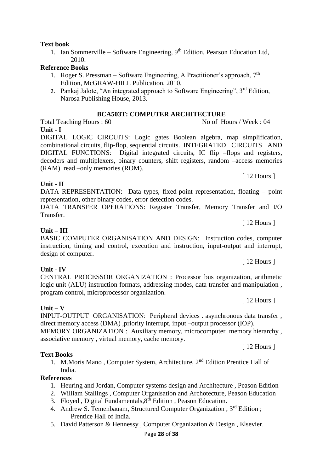#### **BCA503T: COMPUTER ARCHITECTURE** Total Teaching Hours : 60 No of Hours / Week : 04

**Unit - I**

DIGITAL LOGIC CIRCUITS: Logic gates Boolean algebra, map simplification, combinational circuits, flip-flop, sequential circuits. INTEGRATED CIRCUITS AND DIGITAL FUNCTIONS: Digital integrated circuits, IC flip –flops and registers, decoders and multiplexers, binary counters, shift registers, random –access memories (RAM) read –only memories (ROM).

[ 12 Hours ]

[ 12 Hours ]

[ 12 Hours ]

[ 12 Hours ]

DATA REPRESENTATION: Data types, fixed-point representation, floating – point representation, other binary codes, error detection codes.

DATA TRANSFER OPERATIONS: Register Transfer, Memory Transfer and I/O **Transfer** 

BASIC COMPUTER ORGANISATION AND DESIGN: Instruction codes, computer instruction, timing and control, execution and instruction, input-output and interrupt, design of computer.

CENTRAL PROCESSOR ORGANIZATION : Processor bus organization, arithmetic logic unit (ALU) instruction formats, addressing modes, data transfer and manipulation, program control, microprocessor organization.

**Unit – V**  INPUT-OUTPUT ORGANISATION: Peripheral devices . asynchronous data transfer , direct memory access (DMA) ,priority interrupt, input –output processor (IOP).

MEMORY ORGANIZATION : Auxiliary memory, microcomputer memory hierarchy , associative memory , virtual memory, cache memory. [ 12 Hours ]

**Text Books**

1. M.Moris Mano , Computer System, Architecture, 2nd Edition Prentice Hall of India.

#### **References**

- 1. Heuring and Jordan, Computer systems design and Architecture , Peason Edition
- 2. William Stallings , Computer Organisation and Archotecture, Peason Education
- 3. Floyed, Digital Fundamentals, 8<sup>th</sup> Edition, Peason Education.
- 4. Andrew S. Temenbauam, Structured Computer Organization, 3<sup>rd</sup> Edition; Prentice Hall of India.
- 5. David Patterson & Hennessy , Computer Organization & Design , Elsevier.

# **Text book**

**Unit - II**

**Unit – III**

**Unit - IV**

1. Ian Sommerville – Software Engineering, 9<sup>th</sup> Edition, Pearson Education Ltd, 2010.

#### **Reference Books**

- 1. Roger S. Pressman Software Engineering, A Practitioner's approach,  $7<sup>th</sup>$ Edition, McGRAW-HILL Publication, 2010.
- 2. Pankaj Jalote, "An integrated approach to Software Engineering",  $3<sup>rd</sup>$  Edition, Narosa Publishing House, 2013.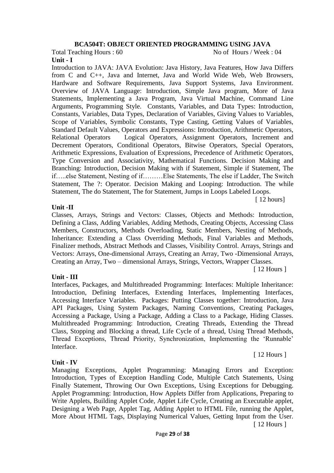#### **BCA504T: OBJECT ORIENTED PROGRAMMING USING JAVA**

Total Teaching Hours : 60 No of Hours / Week : 04

**Unit - I**

Introduction to JAVA: JAVA Evolution: Java History, Java Features, How Java Differs from C and C++, Java and Internet, Java and World Wide Web, Web Browsers, Hardware and Software Requirements, Java Support Systems, Java Environment. Overview of JAVA Language: Introduction, Simple Java program, More of Java Statements, Implementing a Java Program, Java Virtual Machine, Command Line Arguments, Programming Style. Constants, Variables, and Data Types: Introduction, Constants, Variables, Data Types, Declaration of Variables, Giving Values to Variables, Scope of Variables, Symbolic Constants, Type Casting, Getting Values of Variables, Standard Default Values, Operators and Expressions: Introduction, Arithmetic Operators, Relational Operators Logical Operators, Assignment Operators, Increment and Decrement Operators, Conditional Operators, Bitwise Operators, Special Operators, Arithmetic Expressions, Evaluation of Expressions, Precedence of Arithmetic Operators, Type Conversion and Associativity, Mathematical Functions. Decision Making and Branching: Introduction, Decision Making with if Statement, Simple if Statement, The if…..else Statement, Nesting of if………Else Statements, The else if Ladder, The Switch Statement, The ?: Operator. Decision Making and Looping: Introduction. The while Statement, The do Statement, The for Statement, Jumps in Loops Labeled Loops.

#### **Unit -II**

Classes, Arrays, Strings and Vectors: Classes, Objects and Methods: Introduction, Defining a Class, Adding Variables, Adding Methods, Creating Objects, Accessing Class Members, Constructors, Methods Overloading, Static Members, Nesting of Methods, Inheritance: Extending a Class Overriding Methods, Final Variables and Methods, Finalizer methods, Abstract Methods and Classes, Visibility Control. Arrays, Strings and Vectors: Arrays, One-dimensional Arrays, Creating an Array, Two -Dimensional Arrays, Creating an Array, Two – dimensional Arrays, Strings, Vectors, Wrapper Classes.

**Unit - III**

Interfaces, Packages, and Multithreaded Programming: Interfaces: Multiple Inheritance: Introduction, Defining Interfaces, Extending Interfaces, Implementing Interfaces, Accessing Interface Variables. Packages: Putting Classes together: Introduction, Java API Packages, Using System Packages, Naming Conventions, Creating Packages, Accessing a Package, Using a Package, Adding a Class to a Package, Hiding Classes. Multithreaded Programming: Introduction, Creating Threads, Extending the Thread Class, Stopping and Blocking a thread, Life Cycle of a thread, Using Thread Methods, Thread Exceptions, Thread Priority, Synchronization, Implementing the 'Runnable' Interface.

#### **Unit - IV**

Managing Exceptions, Applet Programming: Managing Errors and Exception: Introduction, Types of Exception Handling Code, Multiple Catch Statements, Using Finally Statement, Throwing Our Own Exceptions, Using Exceptions for Debugging. Applet Programming: Introduction, How Applets Differ from Applications, Preparing to Write Applets, Building Applet Code, Applet Life Cycle, Creating an Executable applet, Designing a Web Page, Applet Tag, Adding Applet to HTML File, running the Applet, More About HTML Tags, Displaying Numerical Values, Getting Input from the User.

[ 12 Hours ]

[ 12 Hours ]

[ 12 hours]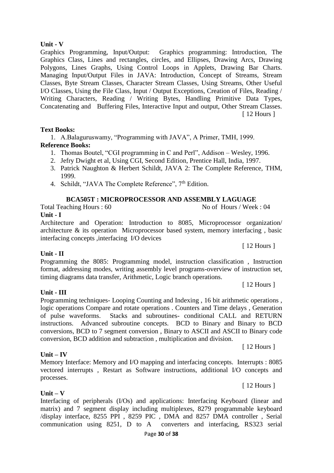#### Page **30** of **38**

#### **Unit - V**

Graphics Programming, Input/Output: Graphics programming: Introduction, The Graphics Class, Lines and rectangles, circles, and Ellipses, Drawing Arcs, Drawing Polygons, Lines Graphs, Using Control Loops in Applets, Drawing Bar Charts. Managing Input/Output Files in JAVA: Introduction, Concept of Streams, Stream Classes, Byte Stream Classes, Character Stream Classes, Using Streams, Other Useful I/O Classes, Using the File Class, Input / Output Exceptions, Creation of Files, Reading / Writing Characters, Reading / Writing Bytes, Handling Primitive Data Types, Concatenating and Buffering Files, Interactive Input and output, Other Stream Classes. [ 12 Hours ]

#### **Text Books:**

1. A.Balaguruswamy, "Programming with JAVA", A Primer, TMH, 1999.

#### **Reference Books:**

- 1. Thomas Boutel, "CGI programming in C and Perl", Addison Wesley, 1996.
- 2. Jefry Dwight et al, Using CGI, Second Edition, Prentice Hall, India, 1997.
- 3. Patrick Naughton & Herbert Schildt, JAVA 2: The Complete Reference, THM, 1999.
- 4. Schildt, "JAVA The Complete Reference", 7<sup>th</sup> Edition.

#### **BCA505T : MICROPROCESSOR AND ASSEMBLY LAGUAGE**

Total Teaching Hours : 60 No of Hours / Week : 04

#### **Unit - I**

Architecture and Operation: Introduction to 8085, Microprocessor organization/ architecture & its operation Microprocessor based system, memory interfacing , basic interfacing concepts ,interfacing I/O devices

#### **Unit - II**

Programming the 8085: Programming model, instruction classification , Instruction format, addressing modes, writing assembly level programs-overview of instruction set, timing diagrams data transfer, Arithmetic, Logic branch operations.

**Unit - III**

#### Programming techniques- Looping Counting and Indexing , 16 bit arithmetic operations , logic operations Compare and rotate operations . Counters and Time delays , Generation of pulse waveforms. Stacks and subroutines- conditional CALL and RETURN instructions. Advanced subroutine concepts. BCD to Binary and Binary to BCD conversions, BCD to 7 segment conversion , Binary to ASCII and ASCII to Binary code conversion, BCD addition and subtraction , multiplication and division.

#### **Unit – IV**

**Unit – V**

#### Memory Interface: Memory and I/O mapping and interfacing concepts. Interrupts : 8085 vectored interrupts , Restart as Software instructions, additional I/O concepts and processes.

Interfacing of peripherals (I/Os) and applications: Interfacing Keyboard (linear and matrix) and 7 segment display including multiplexes, 8279 programmable keyboard /display interface, 8255 PPI , 8259 PIC , DMA and 8257 DMA controller , Serial communication using 8251, D to A converters and interfacing, RS323 serial

[ 12 Hours ]

[ 12 Hours ]

[ 12 Hours ]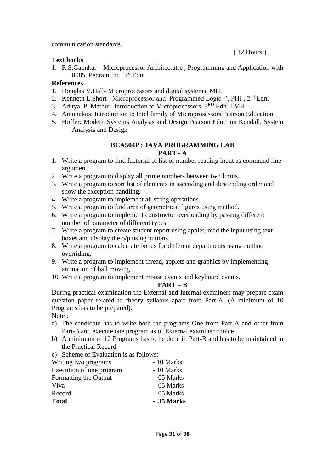communication standards.

[ 12 Hours ]

#### **Text books**

1. R.S.Gaonkar – Microprocessor Architectutre , Programming and Application with 8085. Penram Int. 3rd Edn.

#### **References**

- 1. Douglas V.Hall- Microprocessors and digital systems, MH.
- 2. Kenneth L.Short Microprocessor and Programmed Logic ", PHI, 2<sup>nd</sup> Edn.
- 3. Aditya P. Mathur- Introduction to Microprocessors, 3RD Edn. TMH
- 4. Antonakos: Introduction to Intel family of Microprosessors Pearson Education
- 5. Hoffer: Modern Systems Analysis and Design Pearson Eduction Kendall, System Analysis and Design

#### **BCA504P : JAVA PROGRAMMING LAB PART - A**

- 1. Write a program to find factorial of list of number reading input as command line argument.
- 2. Write a program to display all prime numbers between two limits.
- 3. Write a program to sort list of elements in ascending and descending order and show the exception handling.
- 4. Write a program to implement all string operations.
- 5. Write a program to find area of geometrical figures using method.
- 6. Write a program to implement constructor overloading by passing different number of parameter of different types.
- 7. Write a program to create student report using applet, read the input using text boxes and display the o/p using buttons.
- 8. Write a program to calculate bonus for different departments using method overriding.
- 9. Write a program to implement thread, applets and graphics by implementing animation of ball moving.
- 10. Write a program to implement mouse events and keyboard events.

# **PART – B**

During practical examination the External and Internal examiners may prepare exam question paper related to theory syllabus apart from Part-A. (A minimum of 10 Programs has to be prepared).

Note :

- a) The candidate has to write both the programs One from Part-A and other from Part-B and execute one program as of External examiner choice.
- b) A minimum of 10 Programs has to be done in Part-B and has to be maintained in the Practical Record.
- c) Scheme of Evaluation is as follows:

| - 10 Marks |
|------------|
| - 10 Marks |
| - 05 Marks |
| - 05 Marks |
| - 05 Marks |
| - 35 Marks |
|            |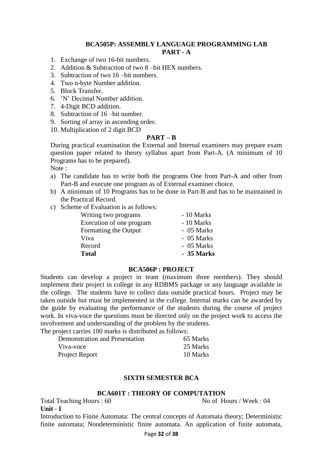#### **BCA505P: ASSEMBLY LANGUAGE PROGRAMMING LAB PART - A**

- 1. Exchange of two 16-bit numbers.
- 2. Addition & Subtraction of two 8 –bit HEX numbers.
- 3. Subtraction of two 16 –bit numbers.
- 4. Two n-byte Number addition.
- 5. Block Transfer.
- 6. 'N' Decimal Number addition.
- 7. 4-Digit BCD addition.
- 8. Subtraction of 16 –bit number.
- 9. Sorting of array in ascending order.
- 10. Multiplication of 2 digit BCD

#### **PART – B**

During practical examination the External and Internal examiners may prepare exam question paper related to theory syllabus apart from Part-A. (A minimum of 10 Programs has to be prepared).

Note :

- a) The candidate has to write both the programs One from Part-A and other from Part-B and execute one program as of External examiner choice.
- b) A minimum of 10 Programs has to be done in Part-B and has to be maintained in the Practical Record.
- c) Scheme of Evaluation is as follows:

| Writing two programs     | - 10 Marks |
|--------------------------|------------|
| Execution of one program | - 10 Marks |
| Formatting the Output    | - 05 Marks |
| Viva                     | - 05 Marks |
| Record                   | - 05 Marks |
| <b>Total</b>             | - 35 Marks |

#### **BCA506P : PROJECT**

Students can develop a project in team (maximum three members). They should implement their project in college in any RDBMS package or any language available in the college. The students have to collect data outside practical hours. Project may be taken outside but must be implemented in the college. Internal marks can be awarded by the guide by evaluating the performance of the students during the course of project work. In viva-voce the questions must be directed only on the project work to access the involvement and understanding of the problem by the students.

The project carries 100 marks is distributed as follows:

| Demonstration and Presentation | 65 Marks |
|--------------------------------|----------|
| Viva-voce                      | 25 Marks |
| Project Report                 | 10 Marks |

#### **SIXTH SEMESTER BCA**

#### **BCA601T : THEORY OF COMPUTATION**

Total Teaching Hours : 60 No of Hours / Week : 04 **Unit - I**

Introduction to Finite Automata: The central concepts of Automata theory; Deterministic finite automata; Nondeterministic finite automata. An application of finite automata,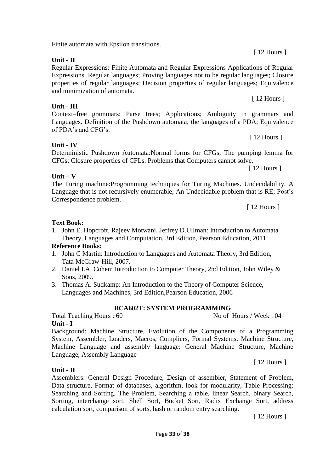Finite automata with Epsilon transitions.

**Unit - II**

**Unit - III**

Regular Expressions: Finite Automata and Regular Expressions Applications of Regular Expressions. Regular languages; Proving languages not to be regular languages; Closure properties of regular languages; Decision properties of regular languages; Equivalence and minimization of automata.

Context–free grammars: Parse trees; Applications; Ambiguity in grammars and Languages. Definition of the Pushdown automata; the languages of a PDA; Equivalence of PDA's and CFG's.

**Unit - IV**

**Unit – V**

Deterministic Pushdown Automata:Normal forms for CFGs; The pumping lemma for CFGs; Closure properties of CFLs. Problems that Computers cannot solve.

[ 12 Hours ]

The Turing machine:Programming techniques for Turing Machines. Undecidability, A Language that is not recursively enumerable; An Undecidable problem that is RE; Post's Correspondence problem.

[ 12 Hours ]

#### **Text Book:**

1. John E. Hopcroft, Rajeev Motwani, Jeffrey D.Ullman: Introduction to Automata Theory, Languages and Computation, 3rd Edition, Pearson Education, 2011.

#### **Reference Books:**

- 1. John C Martin: Introduction to Languages and Automata Theory, 3rd Edition, Tata McGraw-Hill, 2007.
- 2. Daniel I.A. Cohen: Introduction to Computer Theory, 2nd Edition, John Wiley & Sons, 2009.
- 3. Thomas A. Sudkamp: An Introduction to the Theory of Computer Science, Languages and Machines, 3rd Edition,Pearson Education, 2006

#### **BCA602T: SYSTEM PROGRAMMING**

Total Teaching Hours : 60 No of Hours / Week : 04

Language, Assembly Language

**Unit - I** Background: Machine Structure, Evolution of the Components of a Programming System, Assembler, Loaders, Macros, Compliers, Formal Systems. Machine Structure, Machine Language and assembly language: General Machine Structure, Machine

**Unit - II**

Assemblers: General Design Procedure, Design of assembler, Statement of Problem, Data structure, Format of databases, algorithm, look for modularity, Table Processing: Searching and Sorting. The Problem, Searching a table, linear Search, binary Search, Sorting, interchange sort, Shell Sort, Bucket Sort, Radix Exchange Sort, address calculation sort, comparison of sorts, hash or random entry searching.

[ 12 Hours ]

[ 12 Hours ]

[ 12 Hours ]

[ 12 Hours ]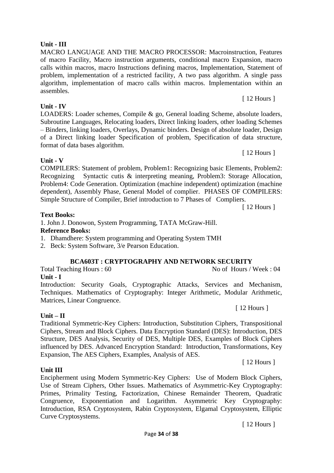### **Unit - III**

MACRO LANGUAGE AND THE MACRO PROCESSOR: Macroinstruction, Features of macro Facility, Macro instruction arguments, conditional macro Expansion, macro calls within macros, macro Instructions defining macros, Implementation, Statement of problem, implementation of a restricted facility, A two pass algorithm. A single pass algorithm, implementation of macro calls within macros. Implementation within an assembles.

#### **Unit - IV**

LOADERS: Loader schemes, Compile & go, General loading Scheme, absolute loaders, Subroutine Languages, Relocating loaders, Direct linking loaders, other loading Schemes – Binders, linking loaders, Overlays, Dynamic binders. Design of absolute loader, Design of a Direct linking loader Specification of problem, Specification of data structure, format of data bases algorithm.

### **Unit - V**

COMPILERS: Statement of problem, Problem1: Recognizing basic Elements, Problem2: Recognizing Syntactic cutis & interpreting meaning, Problem3: Storage Allocation, Problem4: Code Generation. Optimization (machine independent) optimization (machine dependent), Assembly Phase, General Model of complier. PHASES OF COMPILERS: Simple Structure of Compiler, Brief introduction to 7 Phases of Compliers.

[ 12 Hours ]

[ 12 Hours ]

### **Text Books:**

1. John J. Donowon, System Programming, TATA McGraw-Hill.

#### **Reference Books:**

1. Dhamdhere: System programming and Operating System TMH

2. Beck: System Software, 3/e Pearson Education.

# **BCA603T : CRYPTOGRAPHY AND NETWORK SECURITY**

Total Teaching Hours : 60 No of Hours / Week : 04

# **Unit - I**

Introduction: Security Goals, Cryptographic Attacks, Services and Mechanism, Techniques. Mathematics of Cryptography: Integer Arithmetic, Modular Arithmetic, Matrices, Linear Congruence.

# **Unit – II**

Traditional Symmetric-Key Ciphers: Introduction, Substitution Ciphers, Transpositional Ciphers, Stream and Block Ciphers. Data Encryption Standard (DES): Introduction, DES Structure, DES Analysis, Security of DES, Multiple DES, Examples of Block Ciphers influenced by DES. Advanced Encryption Standard: Introduction, Transformations, Key Expansion, The AES Ciphers, Examples, Analysis of AES.

#### **Unit III**

Encipherment using Modern Symmetric-Key Ciphers: Use of Modern Block Ciphers, Use of Stream Ciphers, Other Issues. Mathematics of Asymmetric-Key Cryptography: Primes, Primality Testing, Factorization, Chinese Remainder Theorem, Quadratic Congruence, Exponentiation and Logarithm. Asymmetric Key Cryptography: Introduction, RSA Cryptosystem, Rabin Cryptosystem, Elgamal Cryptosystem, Elliptic Curve Cryptosystems.

[ 12 Hours ]

[ 12 Hours ]

[ 12 Hours ]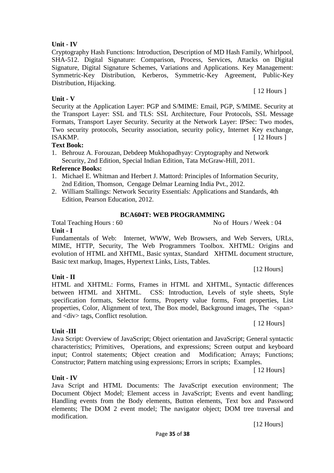### **Unit - IV**

Cryptography Hash Functions: Introduction, Description of MD Hash Family, Whirlpool, SHA-512. Digital Signature: Comparison, Process, Services, Attacks on Digital Signature, Digital Signature Schemes, Variations and Applications. Key Management: Symmetric-Key Distribution, Kerberos, Symmetric-Key Agreement, Public-Key Distribution, Hijacking.

### **Unit - V**

Security at the Application Layer: PGP and S/MIME: Email, PGP, S/MIME. Security at the Transport Layer: SSL and TLS: SSL Architecture, Four Protocols, SSL Message Formats, Transport Layer Security. Security at the Network Layer: IPSec: Two modes, Two security protocols, Security association, security policy, Internet Key exchange, ISAKMP. [ 12 Hours ]

#### **Text Book:**

1. Behrouz A. Forouzan, Debdeep Mukhopadhyay: Cryptography and Network Security, 2nd Edition, Special Indian Edition, Tata McGraw-Hill, 2011.

#### **Reference Books:**

- 1. Michael E. Whitman and Herbert J. Mattord: Principles of Information Security, 2nd Edition, Thomson, Cengage Delmar Learning India Pvt., 2012.
- 2. William Stallings: Network Security Essentials: Applications and Standards, 4th Edition, Pearson Education, 2012.

#### **BCA604T: WEB PROGRAMMING**

Total Teaching Hours : 60 No of Hours / Week : 04

#### **Unit - I**

Fundamentals of Web: Internet, WWW, Web Browsers, and Web Servers, URLs, MIME, HTTP, Security, The Web Programmers Toolbox. XHTML: Origins and evolution of HTML and XHTML, Basic syntax, Standard XHTML document structure, Basic text markup, Images, Hypertext Links, Lists, Tables.

#### **Unit - II**

HTML and XHTML: Forms, Frames in HTML and XHTML, Syntactic differences between HTML and XHTML. CSS: Introduction, Levels of style sheets, Style specification formats, Selector forms, Property value forms, Font properties, List properties, Color, Alignment of text, The Box model, Background images, The <span> and <div> tags, Conflict resolution.

#### **Unit -III**

**Unit - IV**

Java Script: Overview of JavaScript; Object orientation and JavaScript; General syntactic characteristics; Primitives, Operations, and expressions; Screen output and keyboard input; Control statements; Object creation and Modification; Arrays; Functions; Constructor; Pattern matching using expressions; Errors in scripts; Examples.

[ 12 Hours]

Java Script and HTML Documents: The JavaScript execution environment; The Document Object Model; Element access in JavaScript; Events and event handling; Handling events from the Body elements, Button elements, Text box and Password elements; The DOM 2 event model; The navigator object; DOM tree traversal and modification.

[12 Hours]

[12 Hours]

[ 12 Hours]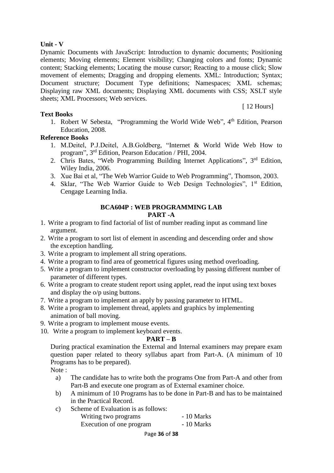#### **Unit - V**

Dynamic Documents with JavaScript: Introduction to dynamic documents; Positioning elements; Moving elements; Element visibility; Changing colors and fonts; Dynamic content; Stacking elements; Locating the mouse cursor; Reacting to a mouse click; Slow movement of elements; Dragging and dropping elements. XML: Introduction; Syntax; Document structure; Document Type definitions; Namespaces; XML schemas; Displaying raw XML documents; Displaying XML documents with CSS; XSLT style sheets; XML Processors; Web services.

#### **Text Books**

[ 12 Hours]

1. Robert W Sebesta, "Programming the World Wide Web", 4<sup>th</sup> Edition, Pearson Education, 2008.

#### **Reference Books**

- 1. M.Deitel, P.J.Deitel, A.B.Goldberg, "Internet & World Wide Web How to program", 3rd Edition, Pearson Education / PHI, 2004.
- 2. Chris Bates, "Web Programming Building Internet Applications", 3rd Edition, Wiley India, 2006.
- 3. Xue Bai et al, "The Web Warrior Guide to Web Programming", Thomson, 2003.
- 4. Sklar, "The Web Warrior Guide to Web Design Technologies", 1<sup>st</sup> Edition, Cengage Learning India.

#### **BCA604P : WEB PROGRAMMING LAB PART -A**

- 1. Write a program to find factorial of list of number reading input as command line argument.
- 2. Write a program to sort list of element in ascending and descending order and show the exception handling.
- 3. Write a program to implement all string operations.
- 4. Write a program to find area of geometrical figures using method overloading.
- 5. Write a program to implement constructor overloading by passing different number of parameter of different types.
- 6. Write a program to create student report using applet, read the input using text boxes and display the o/p using buttons.
- 7. Write a program to implement an apply by passing parameter to HTML.
- 8. Write a program to implement thread, applets and graphics by implementing animation of ball moving.
- 9. Write a program to implement mouse events.
- 10. Write a program to implement keyboard events.

#### **PART – B**

During practical examination the External and Internal examiners may prepare exam question paper related to theory syllabus apart from Part-A. (A minimum of 10 Programs has to be prepared).

Note :

- a) The candidate has to write both the programs One from Part-A and other from Part-B and execute one program as of External examiner choice.
- b) A minimum of 10 Programs has to be done in Part-B and has to be maintained in the Practical Record.
- c) Scheme of Evaluation is as follows:

| Writing two programs     | - 10 Marks |
|--------------------------|------------|
| Execution of one program | - 10 Marks |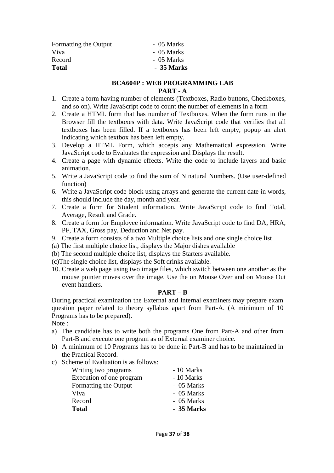| Formatting the Output | - 05 Marks |
|-----------------------|------------|
| Viva                  | - 05 Marks |
| Record                | - 05 Marks |
| <b>Total</b>          | - 35 Marks |
|                       |            |

#### **BCA604P : WEB PROGRAMMING LAB PART - A**

- 1. Create a form having number of elements (Textboxes, Radio buttons, Checkboxes, and so on). Write JavaScript code to count the number of elements in a form
- 2. Create a HTML form that has number of Textboxes. When the form runs in the Browser fill the textboxes with data. Write JavaScript code that verifies that all textboxes has been filled. If a textboxes has been left empty, popup an alert indicating which textbox has been left empty.
- 3. Develop a HTML Form, which accepts any Mathematical expression. Write JavaScript code to Evaluates the expression and Displays the result.
- 4. Create a page with dynamic effects. Write the code to include layers and basic animation.
- 5. Write a JavaScript code to find the sum of N natural Numbers. (Use user-defined function)
- 6. Write a JavaScript code block using arrays and generate the current date in words, this should include the day, month and year.
- 7. Create a form for Student information. Write JavaScript code to find Total, Average, Result and Grade.
- 8. Create a form for Employee information. Write JavaScript code to find DA, HRA, PF, TAX, Gross pay, Deduction and Net pay.
- 9. Create a form consists of a two Multiple choice lists and one single choice list
- (a) The first multiple choice list, displays the Major dishes available
- (b) The second multiple choice list, displays the Starters available.
- (c)The single choice list, displays the Soft drinks available.
- 10. Create a web page using two image files, which switch between one another as the mouse pointer moves over the image. Use the on Mouse Over and on Mouse Out event handlers.

#### **PART – B**

During practical examination the External and Internal examiners may prepare exam question paper related to theory syllabus apart from Part-A. (A minimum of 10 Programs has to be prepared).

Note :

- a) The candidate has to write both the programs One from Part-A and other from Part-B and execute one program as of External examiner choice.
- b) A minimum of 10 Programs has to be done in Part-B and has to be maintained in the Practical Record.
- c) Scheme of Evaluation is as follows:

| Writing two programs     | - 10 Marks |
|--------------------------|------------|
| Execution of one program | - 10 Marks |
| Formatting the Output    | - 05 Marks |
| Viva                     | - 05 Marks |
| Record                   | - 05 Marks |
| <b>Total</b>             | - 35 Marks |